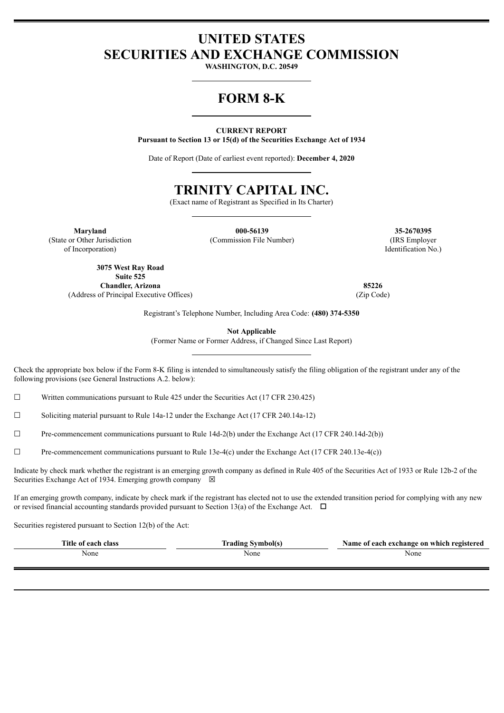# **UNITED STATES SECURITIES AND EXCHANGE COMMISSION**

**WASHINGTON, D.C. 20549**

# **FORM 8-K**

#### **CURRENT REPORT**

**Pursuant to Section 13 or 15(d) of the Securities Exchange Act of 1934**

Date of Report (Date of earliest event reported): **December 4, 2020**

# **TRINITY CAPITAL INC.**

(Exact name of Registrant as Specified in Its Charter)

**Maryland 000-56139 35-2670395**

(State or Other Jurisdiction of Incorporation)

> **3075 West Ray Road Suite 525 Chandler, Arizona 85226** (Address of Principal Executive Offices) (Zip Code)

(Commission File Number) (IRS Employer Identification No.)

Registrant's Telephone Number, Including Area Code: **(480) 374-5350**

**Not Applicable**

(Former Name or Former Address, if Changed Since Last Report)

Check the appropriate box below if the Form 8-K filing is intended to simultaneously satisfy the filing obligation of the registrant under any of the following provisions (see General Instructions A.2. below):

☐ Written communications pursuant to Rule 425 under the Securities Act (17 CFR 230.425)

 $\Box$  Soliciting material pursuant to Rule 14a-12 under the Exchange Act (17 CFR 240.14a-12)

 $\Box$  Pre-commencement communications pursuant to Rule 14d-2(b) under the Exchange Act (17 CFR 240.14d-2(b))

 $\Box$  Pre-commencement communications pursuant to Rule 13e-4(c) under the Exchange Act (17 CFR 240.13e-4(c))

Indicate by check mark whether the registrant is an emerging growth company as defined in Rule 405 of the Securities Act of 1933 or Rule 12b-2 of the Securities Exchange Act of 1934. Emerging growth company  $\boxtimes$ 

If an emerging growth company, indicate by check mark if the registrant has elected not to use the extended transition period for complying with any new or revised financial accounting standards provided pursuant to Section 13(a) of the Exchange Act.  $\Box$ 

Securities registered pursuant to Section 12(b) of the Act:

| Title of each class | <b>Trading Symbol(s)</b> | Name of each exchange on which registered |
|---------------------|--------------------------|-------------------------------------------|
| None                | None                     | None                                      |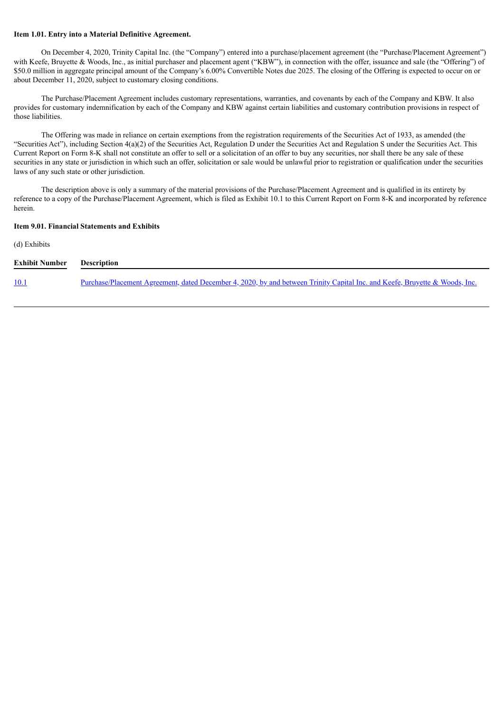#### **Item 1.01. Entry into a Material Definitive Agreement.**

On December 4, 2020, Trinity Capital Inc. (the "Company") entered into a purchase/placement agreement (the "Purchase/Placement Agreement") with Keefe, Bruyette & Woods, Inc., as initial purchaser and placement agent ("KBW"), in connection with the offer, issuance and sale (the "Offering") of \$50.0 million in aggregate principal amount of the Company's 6.00% Convertible Notes due 2025. The closing of the Offering is expected to occur on or about December 11, 2020, subject to customary closing conditions.

The Purchase/Placement Agreement includes customary representations, warranties, and covenants by each of the Company and KBW. It also provides for customary indemnification by each of the Company and KBW against certain liabilities and customary contribution provisions in respect of those liabilities.

The Offering was made in reliance on certain exemptions from the registration requirements of the Securities Act of 1933, as amended (the "Securities Act"), including Section  $4(a)(2)$  of the Securities Act, Regulation D under the Securities Act and Regulation S under the Securities Act. This Current Report on Form 8-K shall not constitute an offer to sell or a solicitation of an offer to buy any securities, nor shall there be any sale of these securities in any state or jurisdiction in which such an offer, solicitation or sale would be unlawful prior to registration or qualification under the securities laws of any such state or other jurisdiction.

The description above is only a summary of the material provisions of the Purchase/Placement Agreement and is qualified in its entirety by reference to a copy of the Purchase/Placement Agreement, which is filed as Exhibit 10.1 to this Current Report on Form 8-K and incorporated by reference herein.

#### **Item 9.01. Financial Statements and Exhibits**

#### (d) Exhibits

| <b>Exhibit Number</b> | <b>Description</b>                                                                                                          |  |  |
|-----------------------|-----------------------------------------------------------------------------------------------------------------------------|--|--|
| <u>10.1</u>           | Purchase/Placement Agreement, dated December 4, 2020, by and between Trinity Capital Inc. and Keefe, Bruyette & Woods, Inc. |  |  |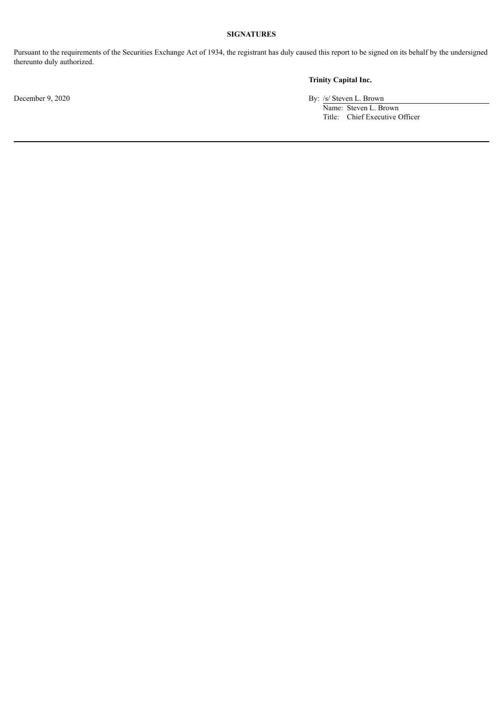# **SIGNATURES**

Pursuant to the requirements of the Securities Exchange Act of 1934, the registrant has duly caused this report to be signed on its behalf by the undersigned thereunto duly authorized.

# **Trinity Capital Inc.**

December 9, 2020 By: /s/ Steven L. Brown

Name: Steven L. Brown

Title: Chief Executive Officer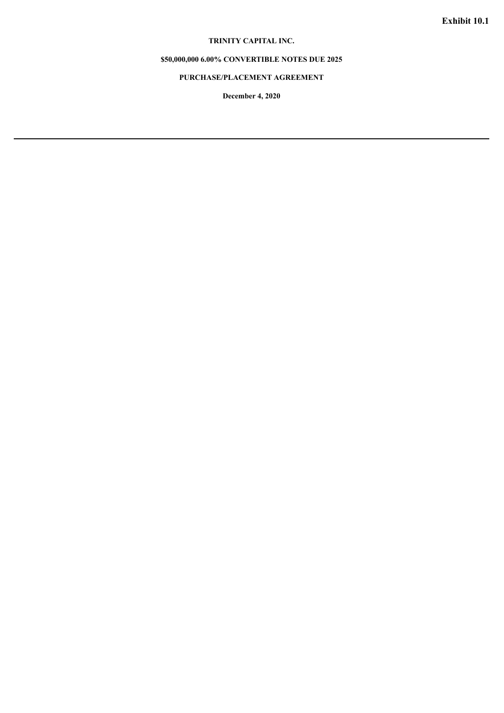# **TRINITY CAPITAL INC.**

### <span id="page-3-0"></span>**\$50,000,000 6.00% CONVERTIBLE NOTES DUE 2025**

# **PURCHASE/PLACEMENT AGREEMENT**

**December 4, 2020**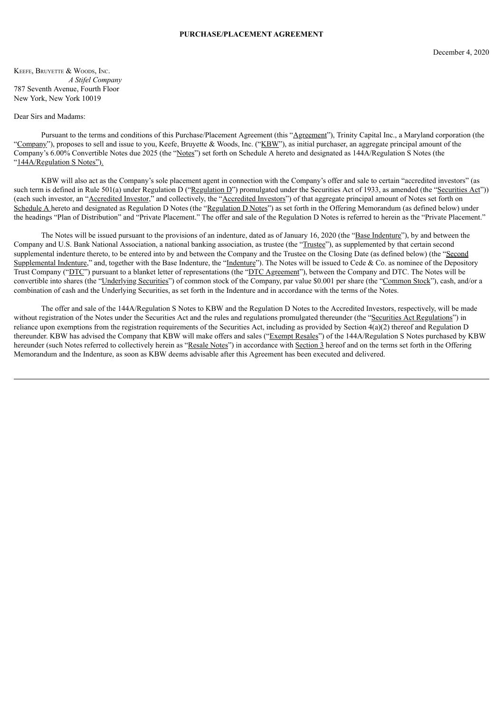#### **PURCHASE/PLACEMENT AGREEMENT**

KEEFE, BRUYETTE & WOODS, INC. *A Stifel Company* 787 Seventh Avenue, Fourth Floor New York, New York 10019

#### Dear Sirs and Madams:

Pursuant to the terms and conditions of this Purchase/Placement Agreement (this "Agreement"), Trinity Capital Inc., a Maryland corporation (the "Company"), proposes to sell and issue to you, Keefe, Bruyette & Woods, Inc. ("KBW"), as initial purchaser, an aggregate principal amount of the Company's 6.00% Convertible Notes due 2025 (the "Notes") set forth on Schedule A hereto and designated as 144A/Regulation S Notes (the "144A/Regulation S Notes").

KBW will also act as the Company's sole placement agent in connection with the Company's offer and sale to certain "accredited investors" (as such term is defined in Rule 501(a) under Regulation D ("Regulation D") promulgated under the Securities Act of 1933, as amended (the "Securities Act")) (each such investor, an "Accredited Investor," and collectively, the "Accredited Investors") of that aggregate principal amount of Notes set forth on Schedule A hereto and designated as Regulation D Notes (the "Regulation D Notes") as set forth in the Offering Memorandum (as defined below) under the headings "Plan of Distribution" and "Private Placement." The offer and sale of the Regulation D Notes is referred to herein as the "Private Placement."

The Notes will be issued pursuant to the provisions of an indenture, dated as of January 16, 2020 (the "Base Indenture"), by and between the Company and U.S. Bank National Association, a national banking association, as trustee (the "Trustee"), as supplemented by that certain second supplemental indenture thereto, to be entered into by and between the Company and the Trustee on the Closing Date (as defined below) (the "Second Supplemental Indenture," and, together with the Base Indenture, the "Indenture"). The Notes will be issued to Cede & Co. as nominee of the Depository Trust Company ("DTC") pursuant to a blanket letter of representations (the "DTC Agreement"), between the Company and DTC. The Notes will be convertible into shares (the "Underlying Securities") of common stock of the Company, par value \$0.001 per share (the "Common Stock"), cash, and/or a combination of cash and the Underlying Securities, as set forth in the Indenture and in accordance with the terms of the Notes.

The offer and sale of the 144A/Regulation S Notes to KBW and the Regulation D Notes to the Accredited Investors, respectively, will be made without registration of the Notes under the Securities Act and the rules and regulations promulgated thereunder (the "Securities Act Regulations") in reliance upon exemptions from the registration requirements of the Securities Act, including as provided by Section 4(a)(2) thereof and Regulation D thereunder. KBW has advised the Company that KBW will make offers and sales ("Exempt Resales") of the 144A/Regulation S Notes purchased by KBW hereunder (such Notes referred to collectively herein as "Resale Notes") in accordance with Section 3 hereof and on the terms set forth in the Offering Memorandum and the Indenture, as soon as KBW deems advisable after this Agreement has been executed and delivered.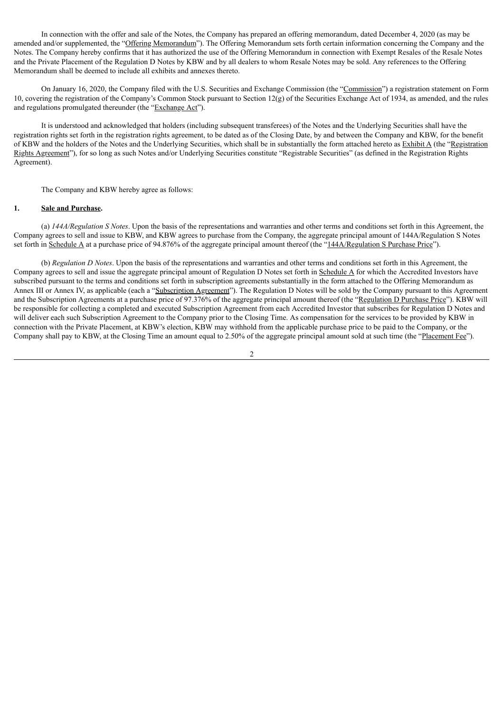In connection with the offer and sale of the Notes, the Company has prepared an offering memorandum, dated December 4, 2020 (as may be amended and/or supplemented, the "Offering Memorandum"). The Offering Memorandum sets forth certain information concerning the Company and the Notes. The Company hereby confirms that it has authorized the use of the Offering Memorandum in connection with Exempt Resales of the Resale Notes and the Private Placement of the Regulation D Notes by KBW and by all dealers to whom Resale Notes may be sold. Any references to the Offering Memorandum shall be deemed to include all exhibits and annexes thereto.

On January 16, 2020, the Company filed with the U.S. Securities and Exchange Commission (the "Commission") a registration statement on Form 10, covering the registration of the Company's Common Stock pursuant to Section 12(g) of the Securities Exchange Act of 1934, as amended, and the rules and regulations promulgated thereunder (the "Exchange Act").

It is understood and acknowledged that holders (including subsequent transferees) of the Notes and the Underlying Securities shall have the registration rights set forth in the registration rights agreement, to be dated as of the Closing Date, by and between the Company and KBW, for the benefit of KBW and the holders of the Notes and the Underlying Securities, which shall be in substantially the form attached hereto as Exhibit A (the "Registration") Rights Agreement"), for so long as such Notes and/or Underlying Securities constitute "Registrable Securities" (as defined in the Registration Rights Agreement).

The Company and KBW hereby agree as follows:

#### **1. Sale and Purchase.**

(a) *144A/Regulation S Notes*. Upon the basis of the representations and warranties and other terms and conditions set forth in this Agreement, the Company agrees to sell and issue to KBW, and KBW agrees to purchase from the Company, the aggregate principal amount of 144A/Regulation S Notes set forth in Schedule A at a purchase price of 94.876% of the aggregate principal amount thereof (the "144A/Regulation S Purchase Price").

(b) *Regulation D Notes*. Upon the basis of the representations and warranties and other terms and conditions set forth in this Agreement, the Company agrees to sell and issue the aggregate principal amount of Regulation D Notes set forth in  $S$ chedule  $A$  for which the Accredited Investors have subscribed pursuant to the terms and conditions set forth in subscription agreements substantially in the form attached to the Offering Memorandum as Annex III or Annex IV, as applicable (each a "Subscription Agreement"). The Regulation D Notes will be sold by the Company pursuant to this Agreement and the Subscription Agreements at a purchase price of 97.376% of the aggregate principal amount thereof (the "Regulation D Purchase Price"). KBW will be responsible for collecting a completed and executed Subscription Agreement from each Accredited Investor that subscribes for Regulation D Notes and will deliver each such Subscription Agreement to the Company prior to the Closing Time. As compensation for the services to be provided by KBW in connection with the Private Placement, at KBW's election, KBW may withhold from the applicable purchase price to be paid to the Company, or the Company shall pay to KBW, at the Closing Time an amount equal to 2.50% of the aggregate principal amount sold at such time (the "Placement Fee").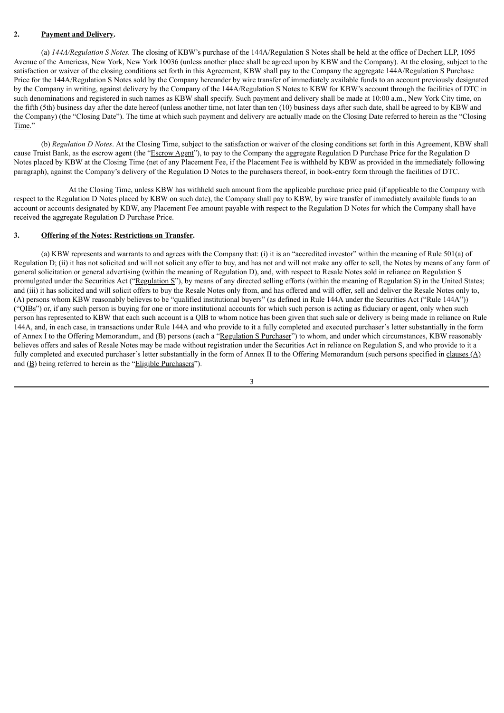### **2. Payment and Delivery.**

(a) *144A/Regulation S Notes.* The closing of KBW's purchase of the 144A/Regulation S Notes shall be held at the office of Dechert LLP, 1095 Avenue of the Americas, New York, New York 10036 (unless another place shall be agreed upon by KBW and the Company). At the closing, subject to the satisfaction or waiver of the closing conditions set forth in this Agreement, KBW shall pay to the Company the aggregate 144A/Regulation S Purchase Price for the 144A/Regulation S Notes sold by the Company hereunder by wire transfer of immediately available funds to an account previously designated by the Company in writing, against delivery by the Company of the 144A/Regulation S Notes to KBW for KBW's account through the facilities of DTC in such denominations and registered in such names as KBW shall specify. Such payment and delivery shall be made at 10:00 a.m., New York City time, on the fifth (5th) business day after the date hereof (unless another time, not later than ten (10) business days after such date, shall be agreed to by KBW and the Company) (the "Closing Date"). The time at which such payment and delivery are actually made on the Closing Date referred to herein as the "Closing Time."

(b) *Regulation D Notes*. At the Closing Time, subject to the satisfaction or waiver of the closing conditions set forth in this Agreement, KBW shall cause Truist Bank, as the escrow agent (the "Escrow Agent"), to pay to the Company the aggregate Regulation D Purchase Price for the Regulation D Notes placed by KBW at the Closing Time (net of any Placement Fee, if the Placement Fee is withheld by KBW as provided in the immediately following paragraph), against the Company's delivery of the Regulation D Notes to the purchasers thereof, in book-entry form through the facilities of DTC.

At the Closing Time, unless KBW has withheld such amount from the applicable purchase price paid (if applicable to the Company with respect to the Regulation D Notes placed by KBW on such date), the Company shall pay to KBW, by wire transfer of immediately available funds to an account or accounts designated by KBW, any Placement Fee amount payable with respect to the Regulation D Notes for which the Company shall have received the aggregate Regulation D Purchase Price.

## **3. Offering of the Notes; Restrictions on Transfer.**

(a) KBW represents and warrants to and agrees with the Company that: (i) it is an "accredited investor" within the meaning of Rule 501(a) of Regulation D; (ii) it has not solicited and will not solicit any offer to buy, and has not and will not make any offer to sell, the Notes by means of any form of general solicitation or general advertising (within the meaning of Regulation D), and, with respect to Resale Notes sold in reliance on Regulation S promulgated under the Securities Act ("Regulation S"), by means of any directed selling efforts (within the meaning of Regulation S) in the United States; and (iii) it has solicited and will solicit offers to buy the Resale Notes only from, and has offered and will offer, sell and deliver the Resale Notes only to, (A) persons whom KBW reasonably believes to be "qualified institutional buyers" (as defined in Rule 144A under the Securities Act ("Rule 144A")) ("QIBs") or, if any such person is buying for one or more institutional accounts for which such person is acting as fiduciary or agent, only when such person has represented to KBW that each such account is a QIB to whom notice has been given that such sale or delivery is being made in reliance on Rule 144A, and, in each case, in transactions under Rule 144A and who provide to it a fully completed and executed purchaser's letter substantially in the form of Annex I to the Offering Memorandum, and (B) persons (each a "Regulation S Purchaser") to whom, and under which circumstances, KBW reasonably believes offers and sales of Resale Notes may be made without registration under the Securities Act in reliance on Regulation S, and who provide to it a fully completed and executed purchaser's letter substantially in the form of Annex II to the Offering Memorandum (such persons specified in clauses (A) and  $(\underline{B})$  being referred to herein as the "Eligible Purchasers").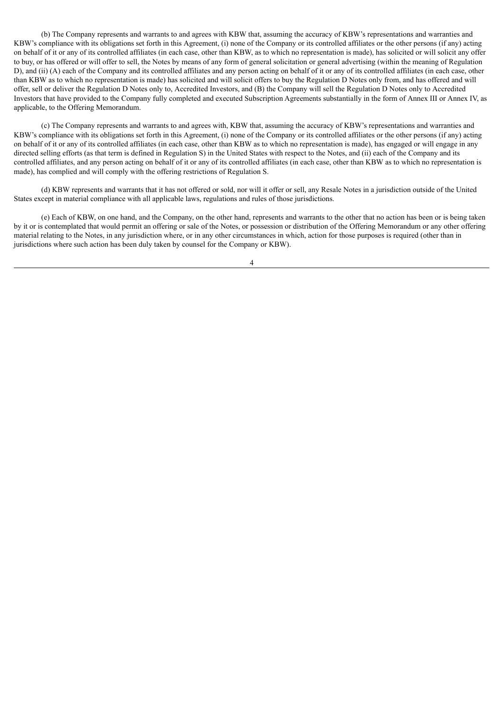(b) The Company represents and warrants to and agrees with KBW that, assuming the accuracy of KBW's representations and warranties and KBW's compliance with its obligations set forth in this Agreement, (i) none of the Company or its controlled affiliates or the other persons (if any) acting on behalf of it or any of its controlled affiliates (in each case, other than KBW, as to which no representation is made), has solicited or will solicit any offer to buy, or has offered or will offer to sell, the Notes by means of any form of general solicitation or general advertising (within the meaning of Regulation D), and (ii) (A) each of the Company and its controlled affiliates and any person acting on behalf of it or any of its controlled affiliates (in each case, other than KBW as to which no representation is made) has solicited and will solicit offers to buy the Regulation D Notes only from, and has offered and will offer, sell or deliver the Regulation D Notes only to, Accredited Investors, and (B) the Company will sell the Regulation D Notes only to Accredited Investors that have provided to the Company fully completed and executed Subscription Agreements substantially in the form of Annex III or Annex IV, as applicable, to the Offering Memorandum.

(c) The Company represents and warrants to and agrees with, KBW that, assuming the accuracy of KBW's representations and warranties and KBW's compliance with its obligations set forth in this Agreement, (i) none of the Company or its controlled affiliates or the other persons (if any) acting on behalf of it or any of its controlled affiliates (in each case, other than KBW as to which no representation is made), has engaged or will engage in any directed selling efforts (as that term is defined in Regulation S) in the United States with respect to the Notes, and (ii) each of the Company and its controlled affiliates, and any person acting on behalf of it or any of its controlled affiliates (in each case, other than KBW as to which no representation is made), has complied and will comply with the offering restrictions of Regulation S.

(d) KBW represents and warrants that it has not offered or sold, nor will it offer or sell, any Resale Notes in a jurisdiction outside of the United States except in material compliance with all applicable laws, regulations and rules of those jurisdictions.

(e) Each of KBW, on one hand, and the Company, on the other hand, represents and warrants to the other that no action has been or is being taken by it or is contemplated that would permit an offering or sale of the Notes, or possession or distribution of the Offering Memorandum or any other offering material relating to the Notes, in any jurisdiction where, or in any other circumstances in which, action for those purposes is required (other than in jurisdictions where such action has been duly taken by counsel for the Company or KBW).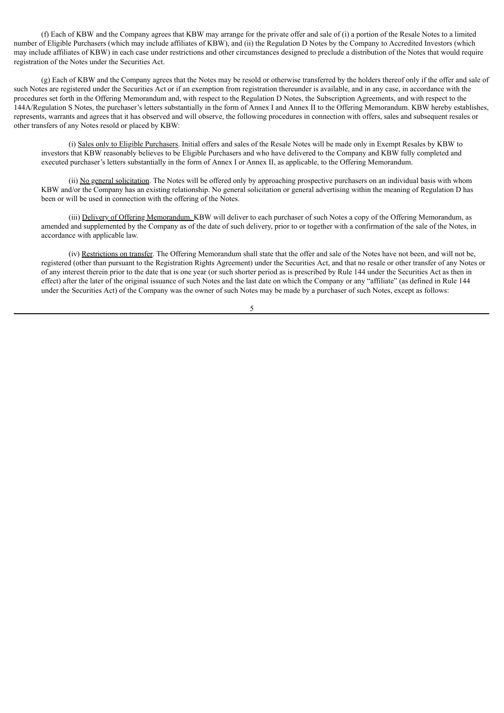(f) Each of KBW and the Company agrees that KBW may arrange for the private offer and sale of (i) a portion of the Resale Notes to a limited number of Eligible Purchasers (which may include affiliates of KBW), and (ii) the Regulation D Notes by the Company to Accredited Investors (which may include affiliates of KBW) in each case under restrictions and other circumstances designed to preclude a distribution of the Notes that would require registration of the Notes under the Securities Act.

(g) Each of KBW and the Company agrees that the Notes may be resold or otherwise transferred by the holders thereof only if the offer and sale of such Notes are registered under the Securities Act or if an exemption from registration thereunder is available, and in any case, in accordance with the procedures set forth in the Offering Memorandum and, with respect to the Regulation D Notes, the Subscription Agreements, and with respect to the 144A/Regulation S Notes, the purchaser's letters substantially in the form of Annex I and Annex II to the Offering Memorandum. KBW hereby establishes, represents, warrants and agrees that it has observed and will observe, the following procedures in connection with offers, sales and subsequent resales or other transfers of any Notes resold or placed by KBW:

(i) Sales only to Eligible Purchasers. Initial offers and sales of the Resale Notes will be made only in Exempt Resales by KBW to investors that KBW reasonably believes to be Eligible Purchasers and who have delivered to the Company and KBW fully completed and executed purchaser's letters substantially in the form of Annex I or Annex II, as applicable, to the Offering Memorandum.

(ii) No general solicitation. The Notes will be offered only by approaching prospective purchasers on an individual basis with whom KBW and/or the Company has an existing relationship. No general solicitation or general advertising within the meaning of Regulation D has been or will be used in connection with the offering of the Notes.

(iii) Delivery of Offering Memorandum. KBW will deliver to each purchaser of such Notes a copy of the Offering Memorandum, as amended and supplemented by the Company as of the date of such delivery, prior to or together with a confirmation of the sale of the Notes, in accordance with applicable law.

(iv) Restrictions on transfer. The Offering Memorandum shall state that the offer and sale of the Notes have not been, and will not be, registered (other than pursuant to the Registration Rights Agreement) under the Securities Act, and that no resale or other transfer of any Notes or of any interest therein prior to the date that is one year (or such shorter period as is prescribed by Rule 144 under the Securities Act as then in effect) after the later of the original issuance of such Notes and the last date on which the Company or any "affiliate" (as defined in Rule 144 under the Securities Act) of the Company was the owner of such Notes may be made by a purchaser of such Notes, except as follows: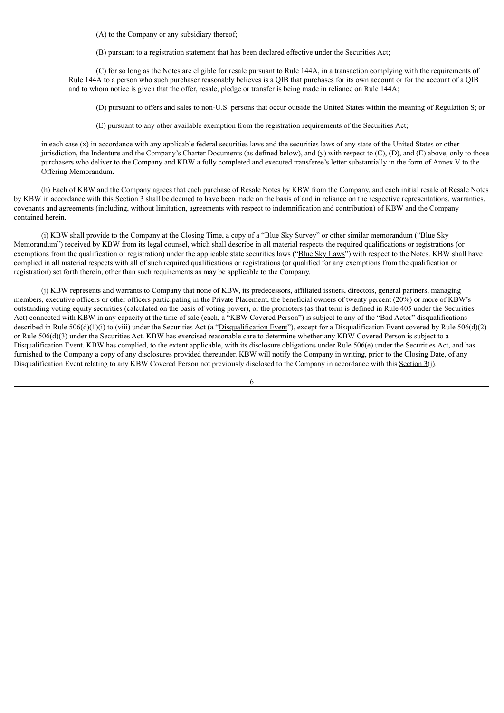(A) to the Company or any subsidiary thereof;

(B) pursuant to a registration statement that has been declared effective under the Securities Act;

(C) for so long as the Notes are eligible for resale pursuant to Rule 144A, in a transaction complying with the requirements of Rule 144A to a person who such purchaser reasonably believes is a QIB that purchases for its own account or for the account of a QIB and to whom notice is given that the offer, resale, pledge or transfer is being made in reliance on Rule 144A;

(D) pursuant to offers and sales to non-U.S. persons that occur outside the United States within the meaning of Regulation S; or

(E) pursuant to any other available exemption from the registration requirements of the Securities Act;

in each case (x) in accordance with any applicable federal securities laws and the securities laws of any state of the United States or other jurisdiction, the Indenture and the Company's Charter Documents (as defined below), and (y) with respect to (C), (D), and (E) above, only to those purchasers who deliver to the Company and KBW a fully completed and executed transferee's letter substantially in the form of Annex V to the Offering Memorandum.

(h) Each of KBW and the Company agrees that each purchase of Resale Notes by KBW from the Company, and each initial resale of Resale Notes by KBW in accordance with this Section 3 shall be deemed to have been made on the basis of and in reliance on the respective representations, warranties, covenants and agreements (including, without limitation, agreements with respect to indemnification and contribution) of KBW and the Company contained herein.

(i) KBW shall provide to the Company at the Closing Time, a copy of a "Blue Sky Survey" or other similar memorandum ("Blue Sky Memorandum") received by KBW from its legal counsel, which shall describe in all material respects the required qualifications or registrations (or exemptions from the qualification or registration) under the applicable state securities laws ("Blue Sky Laws") with respect to the Notes. KBW shall have complied in all material respects with all of such required qualifications or registrations (or qualified for any exemptions from the qualification or registration) set forth therein, other than such requirements as may be applicable to the Company.

(j) KBW represents and warrants to Company that none of KBW, its predecessors, affiliated issuers, directors, general partners, managing members, executive officers or other officers participating in the Private Placement, the beneficial owners of twenty percent (20%) or more of KBW's outstanding voting equity securities (calculated on the basis of voting power), or the promoters (as that term is defined in Rule 405 under the Securities Act) connected with KBW in any capacity at the time of sale (each, a "KBW Covered Person") is subject to any of the "Bad Actor" disqualifications described in Rule 506(d)(1)(i) to (viii) under the Securities Act (a "Disqualification Event"), except for a Disqualification Event covered by Rule 506(d)(2) or Rule 506(d)(3) under the Securities Act. KBW has exercised reasonable care to determine whether any KBW Covered Person is subject to a Disqualification Event. KBW has complied, to the extent applicable, with its disclosure obligations under Rule  $506(e)$  under the Securities Act, and has furnished to the Company a copy of any disclosures provided thereunder. KBW will notify the Company in writing, prior to the Closing Date, of any Disqualification Event relating to any KBW Covered Person not previously disclosed to the Company in accordance with this Section  $3(i)$ .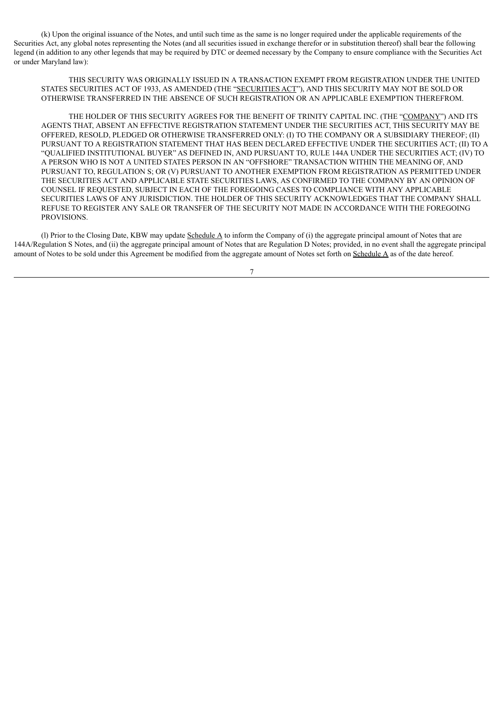(k) Upon the original issuance of the Notes, and until such time as the same is no longer required under the applicable requirements of the Securities Act, any global notes representing the Notes (and all securities issued in exchange therefor or in substitution thereof) shall bear the following legend (in addition to any other legends that may be required by DTC or deemed necessary by the Company to ensure compliance with the Securities Act or under Maryland law):

THIS SECURITY WAS ORIGINALLY ISSUED IN A TRANSACTION EXEMPT FROM REGISTRATION UNDER THE UNITED STATES SECURITIES ACT OF 1933, AS AMENDED (THE "SECURITIES ACT"), AND THIS SECURITY MAY NOT BE SOLD OR OTHERWISE TRANSFERRED IN THE ABSENCE OF SUCH REGISTRATION OR AN APPLICABLE EXEMPTION THEREFROM.

THE HOLDER OF THIS SECURITY AGREES FOR THE BENEFIT OF TRINITY CAPITAL INC. (THE "COMPANY") AND ITS AGENTS THAT, ABSENT AN EFFECTIVE REGISTRATION STATEMENT UNDER THE SECURITIES ACT, THIS SECURITY MAY BE OFFERED, RESOLD, PLEDGED OR OTHERWISE TRANSFERRED ONLY: (I) TO THE COMPANY OR A SUBSIDIARY THEREOF; (II) PURSUANT TO A REGISTRATION STATEMENT THAT HAS BEEN DECLARED EFFECTIVE UNDER THE SECURITIES ACT; (II) TO A "QUALIFIED INSTITUTIONAL BUYER" AS DEFINED IN, AND PURSUANT TO, RULE 144A UNDER THE SECURITIES ACT; (IV) TO A PERSON WHO IS NOT A UNITED STATES PERSON IN AN "OFFSHORE" TRANSACTION WITHIN THE MEANING OF, AND PURSUANT TO, REGULATION S; OR (V) PURSUANT TO ANOTHER EXEMPTION FROM REGISTRATION AS PERMITTED UNDER THE SECURITIES ACT AND APPLICABLE STATE SECURITIES LAWS, AS CONFIRMED TO THE COMPANY BY AN OPINION OF COUNSEL IF REQUESTED, SUBJECT IN EACH OF THE FOREGOING CASES TO COMPLIANCE WITH ANY APPLICABLE SECURITIES LAWS OF ANY JURISDICTION. THE HOLDER OF THIS SECURITY ACKNOWLEDGES THAT THE COMPANY SHALL REFUSE TO REGISTER ANY SALE OR TRANSFER OF THE SECURITY NOT MADE IN ACCORDANCE WITH THE FOREGOING PROVISIONS.

(I) Prior to the Closing Date, KBW may update  $\underline{\text{Scheduled}}$  to inform the Company of (i) the aggregate principal amount of Notes that are 144A/Regulation S Notes, and (ii) the aggregate principal amount of Notes that are Regulation D Notes; provided, in no event shall the aggregate principal amount of Notes to be sold under this Agreement be modified from the aggregate amount of Notes set forth on Schedule A as of the date hereof.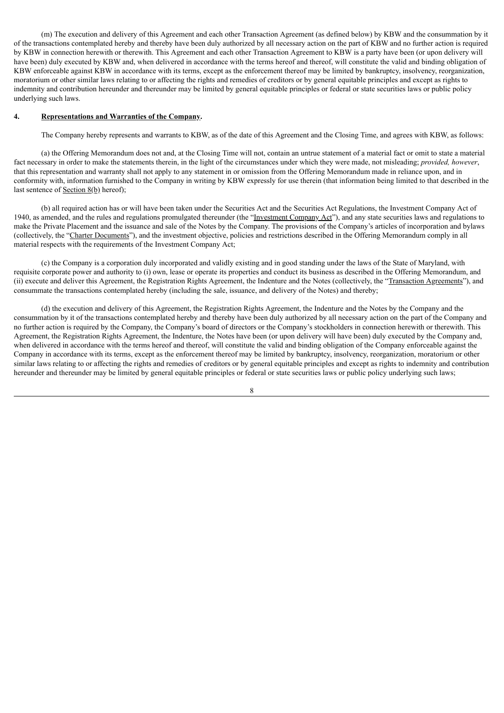(m) The execution and delivery of this Agreement and each other Transaction Agreement (as defined below) by KBW and the consummation by it of the transactions contemplated hereby and thereby have been duly authorized by all necessary action on the part of KBW and no further action is required by KBW in connection herewith or therewith. This Agreement and each other Transaction Agreement to KBW is a party have been (or upon delivery will have been) duly executed by KBW and, when delivered in accordance with the terms hereof and thereof, will constitute the valid and binding obligation of KBW enforceable against KBW in accordance with its terms, except as the enforcement thereof may be limited by bankruptcy, insolvency, reorganization, moratorium or other similar laws relating to or affecting the rights and remedies of creditors or by general equitable principles and except as rights to indemnity and contribution hereunder and thereunder may be limited by general equitable principles or federal or state securities laws or public policy underlying such laws.

## **4. Representations and Warranties of the Company.**

The Company hereby represents and warrants to KBW, as of the date of this Agreement and the Closing Time, and agrees with KBW, as follows:

(a) the Offering Memorandum does not and, at the Closing Time will not, contain an untrue statement of a material fact or omit to state a material fact necessary in order to make the statements therein, in the light of the circumstances under which they were made, not misleading; *provided, however*, that this representation and warranty shall not apply to any statement in or omission from the Offering Memorandum made in reliance upon, and in conformity with, information furnished to the Company in writing by KBW expressly for use therein (that information being limited to that described in the last sentence of <u>Section 8(b)</u> hereof);

(b) all required action has or will have been taken under the Securities Act and the Securities Act Regulations, the Investment Company Act of 1940, as amended, and the rules and regulations promulgated thereunder (the "Investment Company Act"), and any state securities laws and regulations to make the Private Placement and the issuance and sale of the Notes by the Company. The provisions of the Company's articles of incorporation and bylaws (collectively, the "Charter Documents"), and the investment objective, policies and restrictions described in the Offering Memorandum comply in all material respects with the requirements of the Investment Company Act;

(c) the Company is a corporation duly incorporated and validly existing and in good standing under the laws of the State of Maryland, with requisite corporate power and authority to (i) own, lease or operate its properties and conduct its business as described in the Offering Memorandum, and (ii) execute and deliver this Agreement, the Registration Rights Agreement, the Indenture and the Notes (collectively, the "Transaction Agreements"), and consummate the transactions contemplated hereby (including the sale, issuance, and delivery of the Notes) and thereby;

(d) the execution and delivery of this Agreement, the Registration Rights Agreement, the Indenture and the Notes by the Company and the consummation by it of the transactions contemplated hereby and thereby have been duly authorized by all necessary action on the part of the Company and no further action is required by the Company, the Company's board of directors or the Company's stockholders in connection herewith or therewith. This Agreement, the Registration Rights Agreement, the Indenture, the Notes have been (or upon delivery will have been) duly executed by the Company and, when delivered in accordance with the terms hereof and thereof, will constitute the valid and binding obligation of the Company enforceable against the Company in accordance with its terms, except as the enforcement thereof may be limited by bankruptcy, insolvency, reorganization, moratorium or other similar laws relating to or affecting the rights and remedies of creditors or by general equitable principles and except as rights to indemnity and contribution hereunder and thereunder may be limited by general equitable principles or federal or state securities laws or public policy underlying such laws;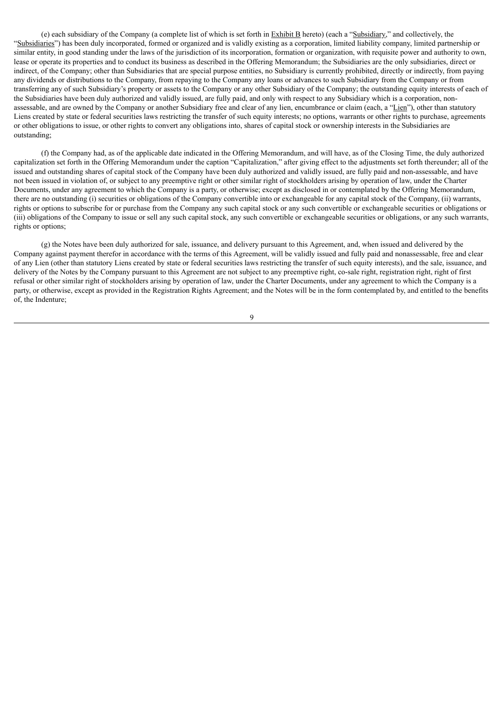(e) each subsidiary of the Company (a complete list of which is set forth in Exhibit B hereto) (each a "Subsidiary," and collectively, the "Subsidiaries") has been duly incorporated, formed or organized and is validly existing as a corporation, limited liability company, limited partnership or similar entity, in good standing under the laws of the jurisdiction of its incorporation, formation or organization, with requisite power and authority to own. lease or operate its properties and to conduct its business as described in the Offering Memorandum; the Subsidiaries are the only subsidiaries, direct or indirect, of the Company; other than Subsidiaries that are special purpose entities, no Subsidiary is currently prohibited, directly or indirectly, from paying any dividends or distributions to the Company, from repaying to the Company any loans or advances to such Subsidiary from the Company or from transferring any of such Subsidiary's property or assets to the Company or any other Subsidiary of the Company; the outstanding equity interests of each of the Subsidiaries have been duly authorized and validly issued, are fully paid, and only with respect to any Subsidiary which is a corporation, nonassessable, and are owned by the Company or another Subsidiary free and clear of any lien, encumbrance or claim (each, a "Lien"), other than statutory Liens created by state or federal securities laws restricting the transfer of such equity interests; no options, warrants or other rights to purchase, agreements or other obligations to issue, or other rights to convert any obligations into, shares of capital stock or ownership interests in the Subsidiaries are outstanding;

(f) the Company had, as of the applicable date indicated in the Offering Memorandum, and will have, as of the Closing Time, the duly authorized capitalization set forth in the Offering Memorandum under the caption "Capitalization," after giving effect to the adjustments set forth thereunder; all of the issued and outstanding shares of capital stock of the Company have been duly authorized and validly issued, are fully paid and non-assessable, and have not been issued in violation of, or subject to any preemptive right or other similar right of stockholders arising by operation of law, under the Charter Documents, under any agreement to which the Company is a party, or otherwise; except as disclosed in or contemplated by the Offering Memorandum, there are no outstanding (i) securities or obligations of the Company convertible into or exchangeable for any capital stock of the Company, (ii) warrants, rights or options to subscribe for or purchase from the Company any such capital stock or any such convertible or exchangeable securities or obligations or (iii) obligations of the Company to issue or sell any such capital stock, any such convertible or exchangeable securities or obligations, or any such warrants, rights or options;

(g) the Notes have been duly authorized for sale, issuance, and delivery pursuant to this Agreement, and, when issued and delivered by the Company against payment therefor in accordance with the terms of this Agreement, will be validly issued and fully paid and nonassessable, free and clear of any Lien (other than statutory Liens created by state or federal securities laws restricting the transfer of such equity interests), and the sale, issuance, and delivery of the Notes by the Company pursuant to this Agreement are not subject to any preemptive right, co-sale right, registration right, right of first refusal or other similar right of stockholders arising by operation of law, under the Charter Documents, under any agreement to which the Company is a party, or otherwise, except as provided in the Registration Rights Agreement; and the Notes will be in the form contemplated by, and entitled to the benefits of, the Indenture;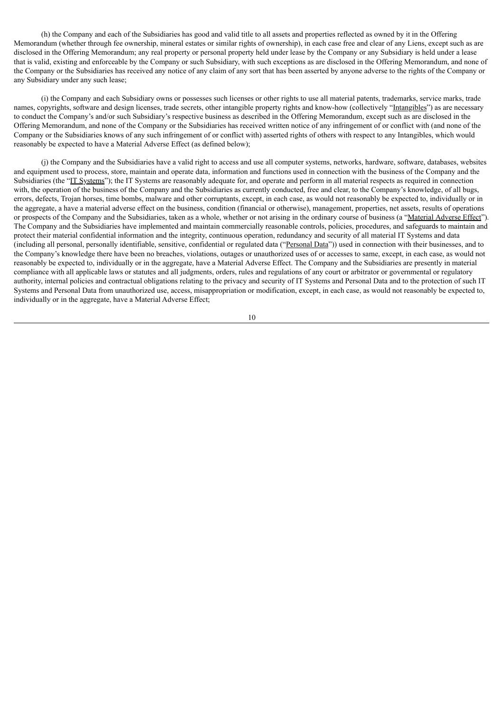(h) the Company and each of the Subsidiaries has good and valid title to all assets and properties reflected as owned by it in the Offering Memorandum (whether through fee ownership, mineral estates or similar rights of ownership), in each case free and clear of any Liens, except such as are disclosed in the Offering Memorandum; any real property or personal property held under lease by the Company or any Subsidiary is held under a lease that is valid, existing and enforceable by the Company or such Subsidiary, with such exceptions as are disclosed in the Offering Memorandum, and none of the Company or the Subsidiaries has received any notice of any claim of any sort that has been asserted by anyone adverse to the rights of the Company or any Subsidiary under any such lease;

(i) the Company and each Subsidiary owns or possesses such licenses or other rights to use all material patents, trademarks, service marks, trade names, copyrights, software and design licenses, trade secrets, other intangible property rights and know-how (collectively "Intangibles") as are necessary to conduct the Company's and/or such Subsidiary's respective business as described in the Offering Memorandum, except such as are disclosed in the Offering Memorandum, and none of the Company or the Subsidiaries has received written notice of any infringement of or conflict with (and none of the Company or the Subsidiaries knows of any such infringement of or conflict with) asserted rights of others with respect to any Intangibles, which would reasonably be expected to have a Material Adverse Effect (as defined below);

(j) the Company and the Subsidiaries have a valid right to access and use all computer systems, networks, hardware, software, databases, websites and equipment used to process, store, maintain and operate data, information and functions used in connection with the business of the Company and the Subsidiaries (the "IT Systems"); the IT Systems are reasonably adequate for, and operate and perform in all material respects as required in connection with, the operation of the business of the Company and the Subsidiaries as currently conducted, free and clear, to the Company's knowledge, of all bugs, errors, defects, Trojan horses, time bombs, malware and other corruptants, except, in each case, as would not reasonably be expected to, individually or in the aggregate, a have a material adverse effect on the business, condition (financial or otherwise), management, properties, net assets, results of operations or prospects of the Company and the Subsidiaries, taken as a whole, whether or not arising in the ordinary course of business (a "Material Adverse Effect"). The Company and the Subsidiaries have implemented and maintain commercially reasonable controls, policies, procedures, and safeguards to maintain and protect their material confidential information and the integrity, continuous operation, redundancy and security of all material IT Systems and data (including all personal, personally identifiable, sensitive, confidential or regulated data ("Personal Data")) used in connection with their businesses, and to the Company's knowledge there have been no breaches, violations, outages or unauthorized uses of or accesses to same, except, in each case, as would not reasonably be expected to, individually or in the aggregate, have a Material Adverse Effect. The Company and the Subsidiaries are presently in material compliance with all applicable laws or statutes and all judgments, orders, rules and regulations of any court or arbitrator or governmental or regulatory authority, internal policies and contractual obligations relating to the privacy and security of IT Systems and Personal Data and to the protection of such IT Systems and Personal Data from unauthorized use, access, misappropriation or modification, except, in each case, as would not reasonably be expected to, individually or in the aggregate, have a Material Adverse Effect;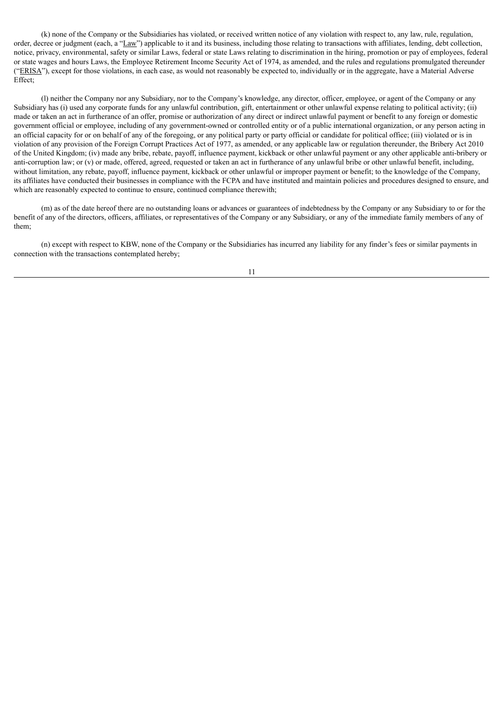(k) none of the Company or the Subsidiaries has violated, or received written notice of any violation with respect to, any law, rule, regulation, order, decree or judgment (each, a "Law") applicable to it and its business, including those relating to transactions with affiliates, lending, debt collection, notice, privacy, environmental, safety or similar Laws, federal or state Laws relating to discrimination in the hiring, promotion or pay of employees, federal or state wages and hours Laws, the Employee Retirement Income Security Act of 1974, as amended, and the rules and regulations promulgated thereunder ("ERISA"), except for those violations, in each case, as would not reasonably be expected to, individually or in the aggregate, have a Material Adverse Effect;

(l) neither the Company nor any Subsidiary, nor to the Company's knowledge, any director, officer, employee, or agent of the Company or any Subsidiary has (i) used any corporate funds for any unlawful contribution, gift, entertainment or other unlawful expense relating to political activity; (ii) made or taken an act in furtherance of an offer, promise or authorization of any direct or indirect unlawful payment or benefit to any foreign or domestic government official or employee, including of any government-owned or controlled entity or of a public international organization, or any person acting in an official capacity for or on behalf of any of the foregoing, or any political party or party official or candidate for political office; (iii) violated or is in violation of any provision of the Foreign Corrupt Practices Act of 1977, as amended, or any applicable law or regulation thereunder, the Bribery Act 2010 of the United Kingdom; (iv) made any bribe, rebate, payoff, influence payment, kickback or other unlawful payment or any other applicable anti-bribery or anti-corruption law; or (v) or made, offered, agreed, requested or taken an act in furtherance of any unlawful bribe or other unlawful benefit, including, without limitation, any rebate, payoff, influence payment, kickback or other unlawful or improper payment or benefit; to the knowledge of the Company, its affiliates have conducted their businesses in compliance with the FCPA and have instituted and maintain policies and procedures designed to ensure, and which are reasonably expected to continue to ensure, continued compliance therewith;

(m) as of the date hereof there are no outstanding loans or advances or guarantees of indebtedness by the Company or any Subsidiary to or for the benefit of any of the directors, officers, affiliates, or representatives of the Company or any Subsidiary, or any of the immediate family members of any of them;

(n) except with respect to KBW, none of the Company or the Subsidiaries has incurred any liability for any finder's fees or similar payments in connection with the transactions contemplated hereby;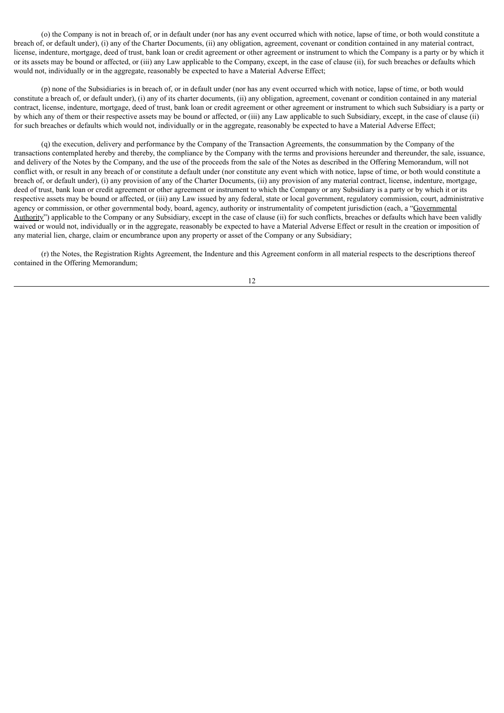(o) the Company is not in breach of, or in default under (nor has any event occurred which with notice, lapse of time, or both would constitute a breach of, or default under), (i) any of the Charter Documents, (ii) any obligation, agreement, covenant or condition contained in any material contract, license, indenture, mortgage, deed of trust, bank loan or credit agreement or other agreement or instrument to which the Company is a party or by which it or its assets may be bound or affected, or (iii) any Law applicable to the Company, except, in the case of clause (ii), for such breaches or defaults which would not, individually or in the aggregate, reasonably be expected to have a Material Adverse Effect;

(p) none of the Subsidiaries is in breach of, or in default under (nor has any event occurred which with notice, lapse of time, or both would constitute a breach of, or default under), (i) any of its charter documents, (ii) any obligation, agreement, covenant or condition contained in any material contract, license, indenture, mortgage, deed of trust, bank loan or credit agreement or other agreement or instrument to which such Subsidiary is a party or by which any of them or their respective assets may be bound or affected, or (iii) any Law applicable to such Subsidiary, except, in the case of clause (ii) for such breaches or defaults which would not, individually or in the aggregate, reasonably be expected to have a Material Adverse Effect;

(q) the execution, delivery and performance by the Company of the Transaction Agreements, the consummation by the Company of the transactions contemplated hereby and thereby, the compliance by the Company with the terms and provisions hereunder and thereunder, the sale, issuance, and delivery of the Notes by the Company, and the use of the proceeds from the sale of the Notes as described in the Offering Memorandum, will not conflict with, or result in any breach of or constitute a default under (nor constitute any event which with notice, lapse of time, or both would constitute a breach of, or default under), (i) any provision of any of the Charter Documents, (ii) any provision of any material contract, license, indenture, mortgage, deed of trust, bank loan or credit agreement or other agreement or instrument to which the Company or any Subsidiary is a party or by which it or its respective assets may be bound or affected, or (iii) any Law issued by any federal, state or local government, regulatory commission, court, administrative agency or commission, or other governmental body, board, agency, authority or instrumentality of competent jurisdiction (each, a "Governmental Authority") applicable to the Company or any Subsidiary, except in the case of clause (ii) for such conflicts, breaches or defaults which have been validly waived or would not, individually or in the aggregate, reasonably be expected to have a Material Adverse Effect or result in the creation or imposition of any material lien, charge, claim or encumbrance upon any property or asset of the Company or any Subsidiary;

(r) the Notes, the Registration Rights Agreement, the Indenture and this Agreement conform in all material respects to the descriptions thereof contained in the Offering Memorandum;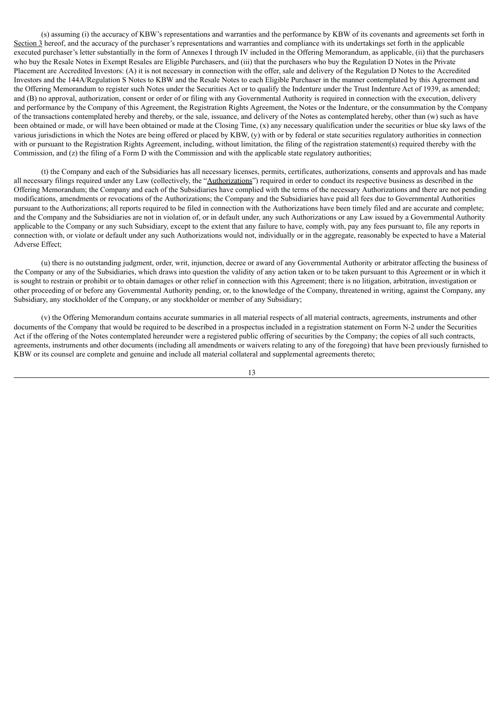(s) assuming (i) the accuracy of KBW's representations and warranties and the performance by KBW of its covenants and agreements set forth in Section 3 hereof, and the accuracy of the purchaser's representations and warranties and compliance with its undertakings set forth in the applicable executed purchaser's letter substantially in the form of Annexes I through IV included in the Offering Memorandum, as applicable, (ii) that the purchasers who buy the Resale Notes in Exempt Resales are Eligible Purchasers, and (iii) that the purchasers who buy the Regulation D Notes in the Private Placement are Accredited Investors: (A) it is not necessary in connection with the offer, sale and delivery of the Regulation D Notes to the Accredited Investors and the 144A/Regulation S Notes to KBW and the Resale Notes to each Eligible Purchaser in the manner contemplated by this Agreement and the Offering Memorandum to register such Notes under the Securities Act or to qualify the Indenture under the Trust Indenture Act of 1939, as amended; and (B) no approval, authorization, consent or order of or filing with any Governmental Authority is required in connection with the execution, delivery and performance by the Company of this Agreement, the Registration Rights Agreement, the Notes or the Indenture, or the consummation by the Company of the transactions contemplated hereby and thereby, or the sale, issuance, and delivery of the Notes as contemplated hereby, other than (w) such as have been obtained or made, or will have been obtained or made at the Closing Time, (x) any necessary qualification under the securities or blue sky laws of the various jurisdictions in which the Notes are being offered or placed by KBW, (y) with or by federal or state securities regulatory authorities in connection with or pursuant to the Registration Rights Agreement, including, without limitation, the filing of the registration statement(s) required thereby with the Commission, and (z) the filing of a Form D with the Commission and with the applicable state regulatory authorities;

(t) the Company and each of the Subsidiaries has all necessary licenses, permits, certificates, authorizations, consents and approvals and has made all necessary filings required under any Law (collectively, the "Authorizations") required in order to conduct its respective business as described in the Offering Memorandum; the Company and each of the Subsidiaries have complied with the terms of the necessary Authorizations and there are not pending modifications, amendments or revocations of the Authorizations; the Company and the Subsidiaries have paid all fees due to Governmental Authorities pursuant to the Authorizations; all reports required to be filed in connection with the Authorizations have been timely filed and are accurate and complete; and the Company and the Subsidiaries are not in violation of, or in default under, any such Authorizations or any Law issued by a Governmental Authority applicable to the Company or any such Subsidiary, except to the extent that any failure to have, comply with, pay any fees pursuant to, file any reports in connection with, or violate or default under any such Authorizations would not, individually or in the aggregate, reasonably be expected to have a Material Adverse Effect;

(u) there is no outstanding judgment, order, writ, injunction, decree or award of any Governmental Authority or arbitrator affecting the business of the Company or any of the Subsidiaries, which draws into question the validity of any action taken or to be taken pursuant to this Agreement or in which it is sought to restrain or prohibit or to obtain damages or other relief in connection with this Agreement; there is no litigation, arbitration, investigation or other proceeding of or before any Governmental Authority pending, or, to the knowledge of the Company, threatened in writing, against the Company, any Subsidiary, any stockholder of the Company, or any stockholder or member of any Subsidiary;

(v) the Offering Memorandum contains accurate summaries in all material respects of all material contracts, agreements, instruments and other documents of the Company that would be required to be described in a prospectus included in a registration statement on Form N-2 under the Securities Act if the offering of the Notes contemplated hereunder were a registered public offering of securities by the Company; the copies of all such contracts, agreements, instruments and other documents (including all amendments or waivers relating to any of the foregoing) that have been previously furnished to KBW or its counsel are complete and genuine and include all material collateral and supplemental agreements thereto;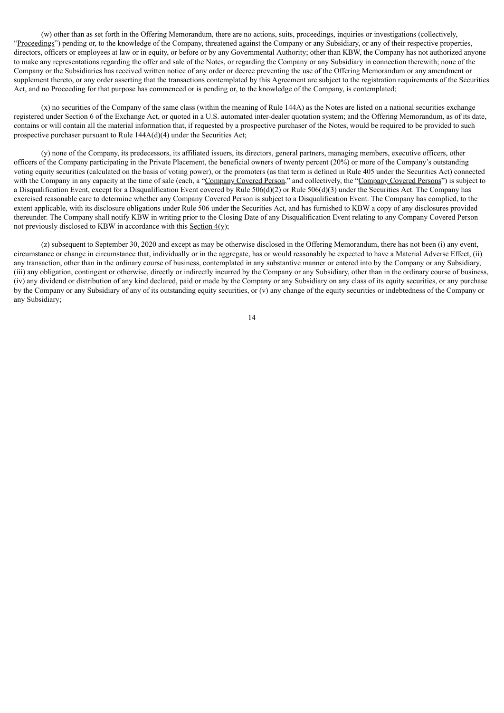(w) other than as set forth in the Offering Memorandum, there are no actions, suits, proceedings, inquiries or investigations (collectively, "Proceedings") pending or, to the knowledge of the Company, threatened against the Company or any Subsidiary, or any of their respective properties, directors, officers or employees at law or in equity, or before or by any Governmental Authority; other than KBW, the Company has not authorized anyone to make any representations regarding the offer and sale of the Notes, or regarding the Company or any Subsidiary in connection therewith; none of the Company or the Subsidiaries has received written notice of any order or decree preventing the use of the Offering Memorandum or any amendment or supplement thereto, or any order asserting that the transactions contemplated by this Agreement are subject to the registration requirements of the Securities Act, and no Proceeding for that purpose has commenced or is pending or, to the knowledge of the Company, is contemplated;

(x) no securities of the Company of the same class (within the meaning of Rule 144A) as the Notes are listed on a national securities exchange registered under Section 6 of the Exchange Act, or quoted in a U.S. automated inter-dealer quotation system; and the Offering Memorandum, as of its date, contains or will contain all the material information that, if requested by a prospective purchaser of the Notes, would be required to be provided to such prospective purchaser pursuant to Rule 144A(d)(4) under the Securities Act;

(y) none of the Company, its predecessors, its affiliated issuers, its directors, general partners, managing members, executive officers, other officers of the Company participating in the Private Placement, the beneficial owners of twenty percent (20%) or more of the Company's outstanding voting equity securities (calculated on the basis of voting power), or the promoters (as that term is defined in Rule 405 under the Securities Act) connected with the Company in any capacity at the time of sale (each, a "Company Covered Person," and collectively, the "Company Covered Persons") is subject to a Disqualification Event, except for a Disqualification Event covered by Rule  $506(d)(2)$  or Rule  $506(d)(3)$  under the Securities Act. The Company has exercised reasonable care to determine whether any Company Covered Person is subject to a Disqualification Event. The Company has complied, to the extent applicable, with its disclosure obligations under Rule 506 under the Securities Act, and has furnished to KBW a copy of any disclosures provided thereunder. The Company shall notify KBW in writing prior to the Closing Date of any Disqualification Event relating to any Company Covered Person not previously disclosed to KBW in accordance with this Section 4(y);

(z) subsequent to September 30, 2020 and except as may be otherwise disclosed in the Offering Memorandum, there has not been (i) any event, circumstance or change in circumstance that, individually or in the aggregate, has or would reasonably be expected to have a Material Adverse Effect, (ii) any transaction, other than in the ordinary course of business, contemplated in any substantive manner or entered into by the Company or any Subsidiary, (iii) any obligation, contingent or otherwise, directly or indirectly incurred by the Company or any Subsidiary, other than in the ordinary course of business, (iv) any dividend or distribution of any kind declared, paid or made by the Company or any Subsidiary on any class of its equity securities, or any purchase by the Company or any Subsidiary of any of its outstanding equity securities, or (v) any change of the equity securities or indebtedness of the Company or any Subsidiary;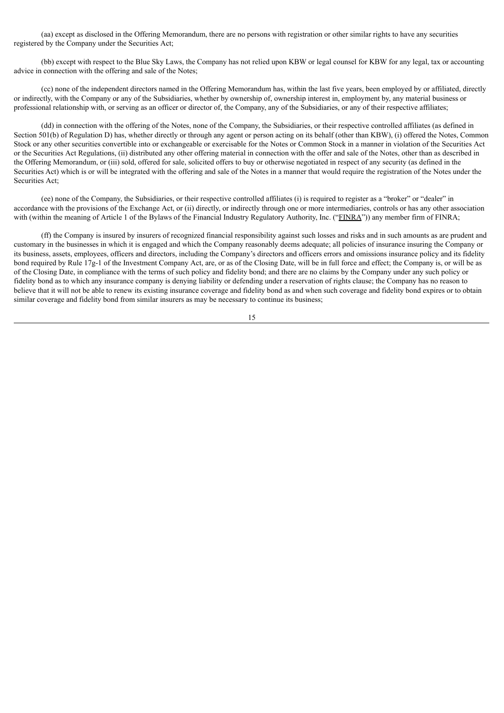(aa) except as disclosed in the Offering Memorandum, there are no persons with registration or other similar rights to have any securities registered by the Company under the Securities Act;

(bb) except with respect to the Blue Sky Laws, the Company has not relied upon KBW or legal counsel for KBW for any legal, tax or accounting advice in connection with the offering and sale of the Notes;

(cc) none of the independent directors named in the Offering Memorandum has, within the last five years, been employed by or affiliated, directly or indirectly, with the Company or any of the Subsidiaries, whether by ownership of, ownership interest in, employment by, any material business or professional relationship with, or serving as an officer or director of, the Company, any of the Subsidiaries, or any of their respective affiliates;

(dd) in connection with the offering of the Notes, none of the Company, the Subsidiaries, or their respective controlled affiliates (as defined in Section 501(b) of Regulation D) has, whether directly or through any agent or person acting on its behalf (other than KBW), (i) offered the Notes, Common Stock or any other securities convertible into or exchangeable or exercisable for the Notes or Common Stock in a manner in violation of the Securities Act or the Securities Act Regulations, (ii) distributed any other offering material in connection with the offer and sale of the Notes, other than as described in the Offering Memorandum, or (iii) sold, offered for sale, solicited offers to buy or otherwise negotiated in respect of any security (as defined in the Securities Act) which is or will be integrated with the offering and sale of the Notes in a manner that would require the registration of the Notes under the Securities Act;

(ee) none of the Company, the Subsidiaries, or their respective controlled affiliates (i) is required to register as a "broker" or "dealer" in accordance with the provisions of the Exchange Act, or (ii) directly, or indirectly through one or more intermediaries, controls or has any other association with (within the meaning of Article 1 of the Bylaws of the Financial Industry Regulatory Authority, Inc. ("FINRA")) any member firm of FINRA;

(ff) the Company is insured by insurers of recognized financial responsibility against such losses and risks and in such amounts as are prudent and customary in the businesses in which it is engaged and which the Company reasonably deems adequate; all policies of insurance insuring the Company or its business, assets, employees, officers and directors, including the Company's directors and officers errors and omissions insurance policy and its fidelity bond required by Rule 17g-1 of the Investment Company Act, are, or as of the Closing Date, will be in full force and effect; the Company is, or will be as of the Closing Date, in compliance with the terms of such policy and fidelity bond; and there are no claims by the Company under any such policy or fidelity bond as to which any insurance company is denying liability or defending under a reservation of rights clause; the Company has no reason to believe that it will not be able to renew its existing insurance coverage and fidelity bond as and when such coverage and fidelity bond expires or to obtain similar coverage and fidelity bond from similar insurers as may be necessary to continue its business;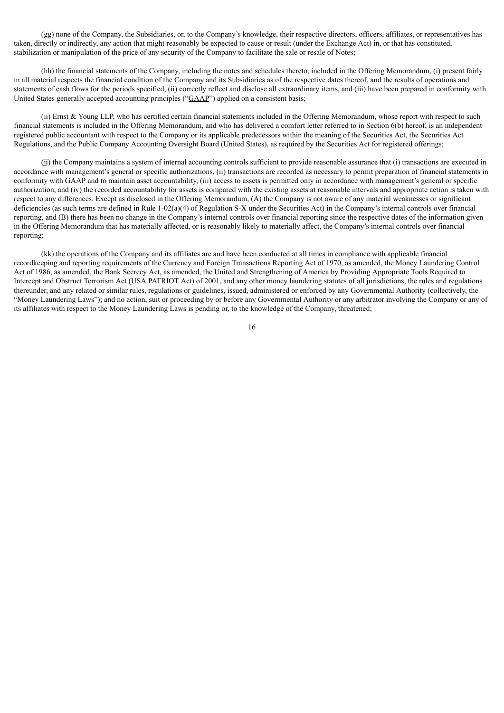(gg) none of the Company, the Subsidiaries, or, to the Company's knowledge, their respective directors, officers, affiliates, or representatives has taken, directly or indirectly, any action that might reasonably be expected to cause or result (under the Exchange Act) in, or that has constituted, stabilization or manipulation of the price of any security of the Company to facilitate the sale or resale of Notes;

(hh) the financial statements of the Company, including the notes and schedules thereto, included in the Offering Memorandum, (i) present fairly in all material respects the financial condition of the Company and its Subsidiaries as of the respective dates thereof, and the results of operations and statements of cash flows for the periods specified, (ii) correctly reflect and disclose all extraordinary items, and (iii) have been prepared in conformity with United States generally accepted accounting principles ("GAAP") applied on a consistent basis;

(ii) Ernst & Young LLP, who has certified certain financial statements included in the Offering Memorandum, whose report with respect to such financial statements is included in the Offering Memorandum, and who has delivered a comfort letter referred to in Section  $6(b)$  hereof, is an independent registered public accountant with respect to the Company or its applicable predecessors within the meaning of the Securities Act, the Securities Act Regulations, and the Public Company Accounting Oversight Board (United States), as required by the Securities Act for registered offerings;

(jj) the Company maintains a system of internal accounting controls sufficient to provide reasonable assurance that (i) transactions are executed in accordance with management's general or specific authorizations, (ii) transactions are recorded as necessary to permit preparation of financial statements in conformity with GAAP and to maintain asset accountability, (iii) access to assets is permitted only in accordance with management's general or specific authorization, and (iv) the recorded accountability for assets is compared with the existing assets at reasonable intervals and appropriate action is taken with respect to any differences. Except as disclosed in the Offering Memorandum, (A) the Company is not aware of any material weaknesses or significant deficiencies (as such terms are defined in Rule 1-02(a)(4) of Regulation S-X under the Securities Act) in the Company's internal controls over financial reporting, and (B) there has been no change in the Company's internal controls over financial reporting since the respective dates of the information given in the Offering Memorandum that has materially affected, or is reasonably likely to materially affect, the Company's internal controls over financial reporting;

(kk) the operations of the Company and its affiliates are and have been conducted at all times in compliance with applicable financial recordkeeping and reporting requirements of the Currency and Foreign Transactions Reporting Act of 1970, as amended, the Money Laundering Control Act of 1986, as amended, the Bank Secrecy Act, as amended, the United and Strengthening of America by Providing Appropriate Tools Required to Intercept and Obstruct Terrorism Act (USA PATRIOT Act) of 2001, and any other money laundering statutes of all jurisdictions, the rules and regulations thereunder, and any related or similar rules, regulations or guidelines, issued, administered or enforced by any Governmental Authority (collectively, the "Money Laundering Laws"); and no action, suit or proceeding by or before any Governmental Authority or any arbitrator involving the Company or any of its affiliates with respect to the Money Laundering Laws is pending or, to the knowledge of the Company, threatened;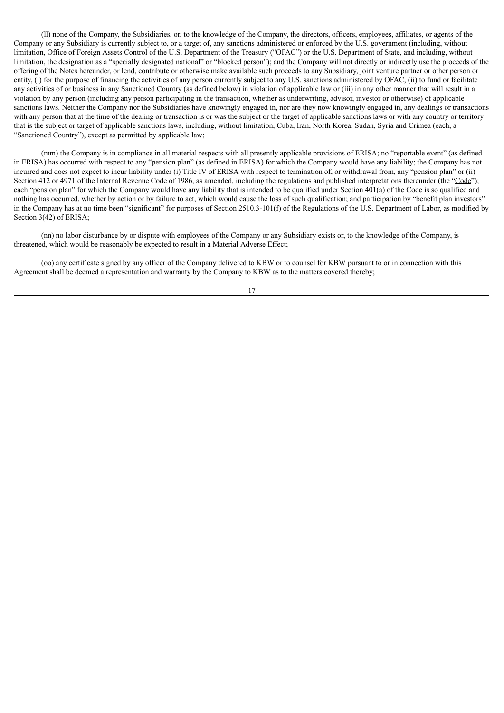(ll) none of the Company, the Subsidiaries, or, to the knowledge of the Company, the directors, officers, employees, affiliates, or agents of the Company or any Subsidiary is currently subject to, or a target of, any sanctions administered or enforced by the U.S. government (including, without limitation, Office of Foreign Assets Control of the U.S. Department of the Treasury ("OFAC") or the U.S. Department of State, and including, without limitation, the designation as a "specially designated national" or "blocked person"); and the Company will not directly or indirectly use the proceeds of the offering of the Notes hereunder, or lend, contribute or otherwise make available such proceeds to any Subsidiary, joint venture partner or other person or entity, (i) for the purpose of financing the activities of any person currently subject to any U.S. sanctions administered by OFAC, (ii) to fund or facilitate any activities of or business in any Sanctioned Country (as defined below) in violation of applicable law or (iii) in any other manner that will result in a violation by any person (including any person participating in the transaction, whether as underwriting, advisor, investor or otherwise) of applicable sanctions laws. Neither the Company nor the Subsidiaries have knowingly engaged in, nor are they now knowingly engaged in, any dealings or transactions with any person that at the time of the dealing or transaction is or was the subject or the target of applicable sanctions laws or with any country or territory that is the subject or target of applicable sanctions laws, including, without limitation, Cuba, Iran, North Korea, Sudan, Syria and Crimea (each, a "Sanctioned Country"), except as permitted by applicable law;

(mm) the Company is in compliance in all material respects with all presently applicable provisions of ERISA; no "reportable event" (as defined in ERISA) has occurred with respect to any "pension plan" (as defined in ERISA) for which the Company would have any liability; the Company has not incurred and does not expect to incur liability under (i) Title IV of ERISA with respect to termination of, or withdrawal from, any "pension plan" or (ii) Section 412 or 4971 of the Internal Revenue Code of 1986, as amended, including the regulations and published interpretations thereunder (the "Code"); each "pension plan" for which the Company would have any liability that is intended to be qualified under Section 401(a) of the Code is so qualified and nothing has occurred, whether by action or by failure to act, which would cause the loss of such qualification; and participation by "benefit plan investors" in the Company has at no time been "significant" for purposes of Section 2510.3-101(f) of the Regulations of the U.S. Department of Labor, as modified by Section 3(42) of ERISA;

(nn) no labor disturbance by or dispute with employees of the Company or any Subsidiary exists or, to the knowledge of the Company, is threatened, which would be reasonably be expected to result in a Material Adverse Effect;

(oo) any certificate signed by any officer of the Company delivered to KBW or to counsel for KBW pursuant to or in connection with this Agreement shall be deemed a representation and warranty by the Company to KBW as to the matters covered thereby;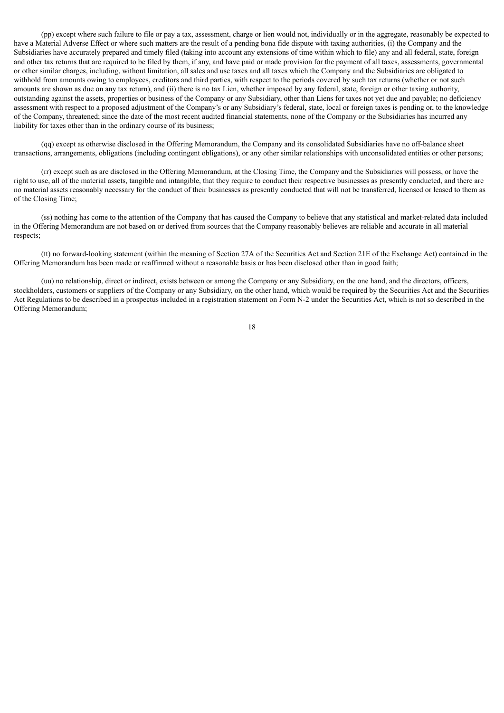(pp) except where such failure to file or pay a tax, assessment, charge or lien would not, individually or in the aggregate, reasonably be expected to have a Material Adverse Effect or where such matters are the result of a pending bona fide dispute with taxing authorities, (i) the Company and the Subsidiaries have accurately prepared and timely filed (taking into account any extensions of time within which to file) any and all federal, state, foreign and other tax returns that are required to be filed by them, if any, and have paid or made provision for the payment of all taxes, assessments, governmental or other similar charges, including, without limitation, all sales and use taxes and all taxes which the Company and the Subsidiaries are obligated to withhold from amounts owing to employees, creditors and third parties, with respect to the periods covered by such tax returns (whether or not such amounts are shown as due on any tax return), and (ii) there is no tax Lien, whether imposed by any federal, state, foreign or other taxing authority, outstanding against the assets, properties or business of the Company or any Subsidiary, other than Liens for taxes not yet due and payable; no deficiency assessment with respect to a proposed adjustment of the Company's or any Subsidiary's federal, state, local or foreign taxes is pending or, to the knowledge of the Company, threatened; since the date of the most recent audited financial statements, none of the Company or the Subsidiaries has incurred any liability for taxes other than in the ordinary course of its business;

(qq) except as otherwise disclosed in the Offering Memorandum, the Company and its consolidated Subsidiaries have no off-balance sheet transactions, arrangements, obligations (including contingent obligations), or any other similar relationships with unconsolidated entities or other persons;

(rr) except such as are disclosed in the Offering Memorandum, at the Closing Time, the Company and the Subsidiaries will possess, or have the right to use, all of the material assets, tangible and intangible, that they require to conduct their respective businesses as presently conducted, and there are no material assets reasonably necessary for the conduct of their businesses as presently conducted that will not be transferred, licensed or leased to them as of the Closing Time;

(ss) nothing has come to the attention of the Company that has caused the Company to believe that any statistical and market-related data included in the Offering Memorandum are not based on or derived from sources that the Company reasonably believes are reliable and accurate in all material respects;

(tt) no forward-looking statement (within the meaning of Section 27A of the Securities Act and Section 21E of the Exchange Act) contained in the Offering Memorandum has been made or reaffirmed without a reasonable basis or has been disclosed other than in good faith;

(uu) no relationship, direct or indirect, exists between or among the Company or any Subsidiary, on the one hand, and the directors, officers, stockholders, customers or suppliers of the Company or any Subsidiary, on the other hand, which would be required by the Securities Act and the Securities Act Regulations to be described in a prospectus included in a registration statement on Form N-2 under the Securities Act, which is not so described in the Offering Memorandum;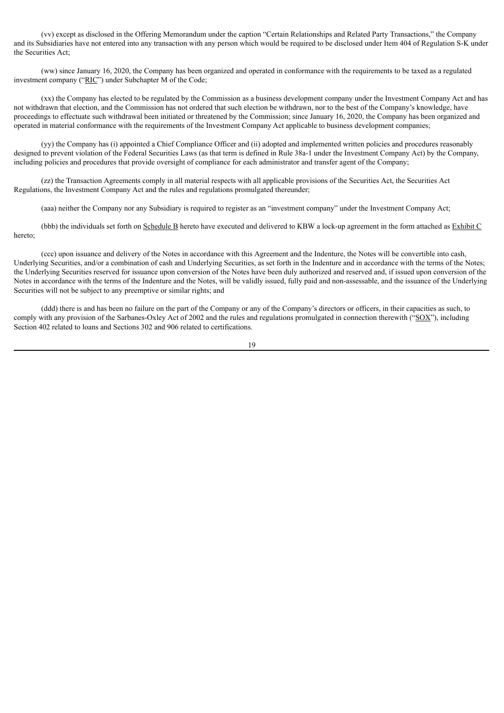(vv) except as disclosed in the Offering Memorandum under the caption "Certain Relationships and Related Party Transactions," the Company and its Subsidiaries have not entered into any transaction with any person which would be required to be disclosed under Item 404 of Regulation S-K under the Securities Act;

(ww) since January 16, 2020, the Company has been organized and operated in conformance with the requirements to be taxed as a regulated investment company ("RIC") under Subchapter M of the Code;

(xx) the Company has elected to be regulated by the Commission as a business development company under the Investment Company Act and has not withdrawn that election, and the Commission has not ordered that such election be withdrawn, nor to the best of the Company's knowledge, have proceedings to effectuate such withdrawal been initiated or threatened by the Commission; since January 16, 2020, the Company has been organized and operated in material conformance with the requirements of the Investment Company Act applicable to business development companies;

(yy) the Company has (i) appointed a Chief Compliance Officer and (ii) adopted and implemented written policies and procedures reasonably designed to prevent violation of the Federal Securities Laws (as that term is defined in Rule 38a-1 under the Investment Company Act) by the Company, including policies and procedures that provide oversight of compliance for each administrator and transfer agent of the Company;

(zz) the Transaction Agreements comply in all material respects with all applicable provisions of the Securities Act, the Securities Act Regulations, the Investment Company Act and the rules and regulations promulgated thereunder;

(aaa) neither the Company nor any Subsidiary is required to register as an "investment company" under the Investment Company Act;

(bbb) the individuals set forth on Schedule B hereto have executed and delivered to KBW a lock-up agreement in the form attached as Exhibit C hereto;

(ccc) upon issuance and delivery of the Notes in accordance with this Agreement and the Indenture, the Notes will be convertible into cash, Underlying Securities, and/or a combination of cash and Underlying Securities, as set forth in the Indenture and in accordance with the terms of the Notes; the Underlying Securities reserved for issuance upon conversion of the Notes have been duly authorized and reserved and, if issued upon conversion of the Notes in accordance with the terms of the Indenture and the Notes, will be validly issued, fully paid and non-assessable, and the issuance of the Underlying Securities will not be subject to any preemptive or similar rights; and

(ddd) there is and has been no failure on the part of the Company or any of the Company's directors or officers, in their capacities as such, to comply with any provision of the Sarbanes-Oxley Act of 2002 and the rules and regulations promulgated in connection therewith ("SOX"), including Section 402 related to loans and Sections 302 and 906 related to certifications.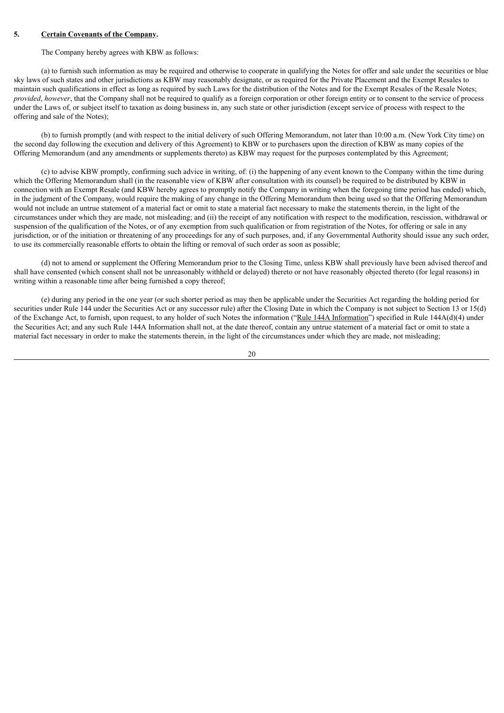## **5. Certain Covenants of the Company.**

#### The Company hereby agrees with KBW as follows:

(a) to furnish such information as may be required and otherwise to cooperate in qualifying the Notes for offer and sale under the securities or blue sky laws of such states and other jurisdictions as KBW may reasonably designate, or as required for the Private Placement and the Exempt Resales to maintain such qualifications in effect as long as required by such Laws for the distribution of the Notes and for the Exempt Resales of the Resale Notes; *provided*, *however*, that the Company shall not be required to qualify as a foreign corporation or other foreign entity or to consent to the service of process under the Laws of, or subject itself to taxation as doing business in, any such state or other jurisdiction (except service of process with respect to the offering and sale of the Notes);

(b) to furnish promptly (and with respect to the initial delivery of such Offering Memorandum, not later than 10:00 a.m. (New York City time) on the second day following the execution and delivery of this Agreement) to KBW or to purchasers upon the direction of KBW as many copies of the Offering Memorandum (and any amendments or supplements thereto) as KBW may request for the purposes contemplated by this Agreement;

(c) to advise KBW promptly, confirming such advice in writing, of: (i) the happening of any event known to the Company within the time during which the Offering Memorandum shall (in the reasonable view of KBW after consultation with its counsel) be required to be distributed by KBW in connection with an Exempt Resale (and KBW hereby agrees to promptly notify the Company in writing when the foregoing time period has ended) which, in the judgment of the Company, would require the making of any change in the Offering Memorandum then being used so that the Offering Memorandum would not include an untrue statement of a material fact or omit to state a material fact necessary to make the statements therein, in the light of the circumstances under which they are made, not misleading; and (ii) the receipt of any notification with respect to the modification, rescission, withdrawal or suspension of the qualification of the Notes, or of any exemption from such qualification or from registration of the Notes, for offering or sale in any jurisdiction, or of the initiation or threatening of any proceedings for any of such purposes, and, if any Governmental Authority should issue any such order, to use its commercially reasonable efforts to obtain the lifting or removal of such order as soon as possible;

(d) not to amend or supplement the Offering Memorandum prior to the Closing Time, unless KBW shall previously have been advised thereof and shall have consented (which consent shall not be unreasonably withheld or delayed) thereto or not have reasonably objected thereto (for legal reasons) in writing within a reasonable time after being furnished a copy thereof;

(e) during any period in the one year (or such shorter period as may then be applicable under the Securities Act regarding the holding period for securities under Rule 144 under the Securities Act or any successor rule) after the Closing Date in which the Company is not subject to Section 13 or 15(d) of the Exchange Act, to furnish, upon request, to any holder of such Notes the information ("Rule 144A Information") specified in Rule 144A(d)(4) under the Securities Act; and any such Rule 144A Information shall not, at the date thereof, contain any untrue statement of a material fact or omit to state a material fact necessary in order to make the statements therein, in the light of the circumstances under which they are made, not misleading;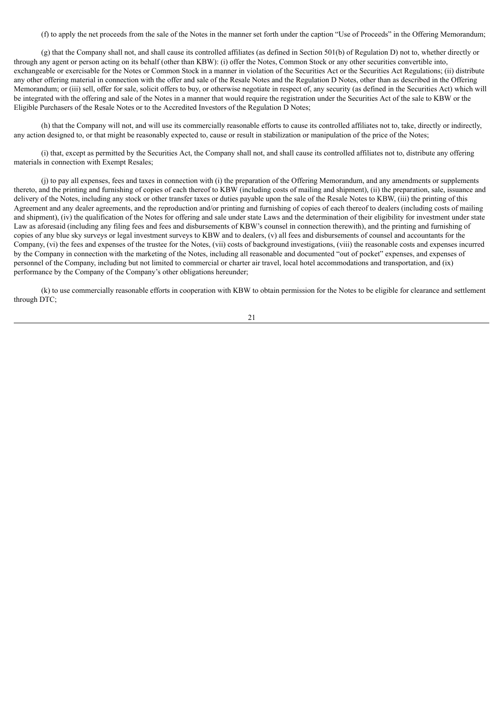(f) to apply the net proceeds from the sale of the Notes in the manner set forth under the caption "Use of Proceeds" in the Offering Memorandum;

(g) that the Company shall not, and shall cause its controlled affiliates (as defined in Section 501(b) of Regulation D) not to, whether directly or through any agent or person acting on its behalf (other than KBW): (i) offer the Notes, Common Stock or any other securities convertible into, exchangeable or exercisable for the Notes or Common Stock in a manner in violation of the Securities Act or the Securities Act Regulations; (ii) distribute any other offering material in connection with the offer and sale of the Resale Notes and the Regulation D Notes, other than as described in the Offering Memorandum; or (iii) sell, offer for sale, solicit offers to buy, or otherwise negotiate in respect of, any security (as defined in the Securities Act) which will be integrated with the offering and sale of the Notes in a manner that would require the registration under the Securities Act of the sale to KBW or the Eligible Purchasers of the Resale Notes or to the Accredited Investors of the Regulation D Notes;

(h) that the Company will not, and will use its commercially reasonable efforts to cause its controlled affiliates not to, take, directly or indirectly, any action designed to, or that might be reasonably expected to, cause or result in stabilization or manipulation of the price of the Notes;

(i) that, except as permitted by the Securities Act, the Company shall not, and shall cause its controlled affiliates not to, distribute any offering materials in connection with Exempt Resales;

(j) to pay all expenses, fees and taxes in connection with (i) the preparation of the Offering Memorandum, and any amendments or supplements thereto, and the printing and furnishing of copies of each thereof to KBW (including costs of mailing and shipment), (ii) the preparation, sale, issuance and delivery of the Notes, including any stock or other transfer taxes or duties payable upon the sale of the Resale Notes to KBW, (iii) the printing of this Agreement and any dealer agreements, and the reproduction and/or printing and furnishing of copies of each thereof to dealers (including costs of mailing and shipment), (iv) the qualification of the Notes for offering and sale under state Laws and the determination of their eligibility for investment under state Law as aforesaid (including any filing fees and fees and disbursements of KBW's counsel in connection therewith), and the printing and furnishing of copies of any blue sky surveys or legal investment surveys to KBW and to dealers, (v) all fees and disbursements of counsel and accountants for the Company, (vi) the fees and expenses of the trustee for the Notes, (vii) costs of background investigations, (viii) the reasonable costs and expenses incurred by the Company in connection with the marketing of the Notes, including all reasonable and documented "out of pocket" expenses, and expenses of personnel of the Company, including but not limited to commercial or charter air travel, local hotel accommodations and transportation, and (ix) performance by the Company of the Company's other obligations hereunder;

(k) to use commercially reasonable efforts in cooperation with KBW to obtain permission for the Notes to be eligible for clearance and settlement through DTC;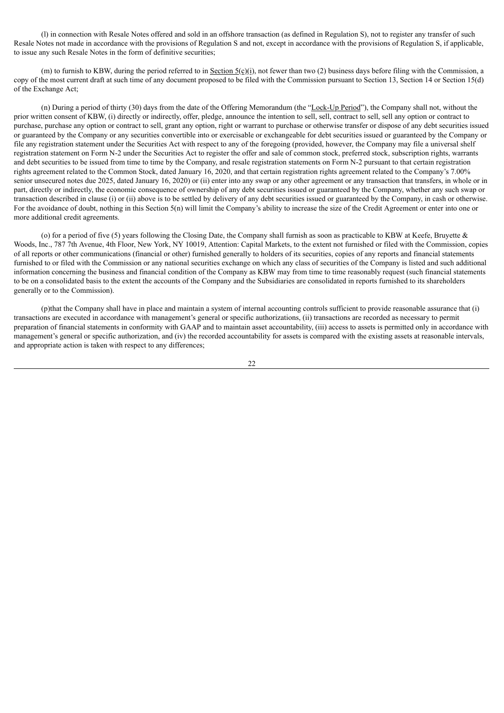(l) in connection with Resale Notes offered and sold in an offshore transaction (as defined in Regulation S), not to register any transfer of such Resale Notes not made in accordance with the provisions of Regulation S and not, except in accordance with the provisions of Regulation S, if applicable, to issue any such Resale Notes in the form of definitive securities;

(m) to furnish to KBW, during the period referred to in Section  $5(c)(i)$ , not fewer than two (2) business days before filing with the Commission, a copy of the most current draft at such time of any document proposed to be filed with the Commission pursuant to Section 13, Section 14 or Section 15(d) of the Exchange Act;

(n) During a period of thirty (30) days from the date of the Offering Memorandum (the "Lock-Up Period"), the Company shall not, without the prior written consent of KBW, (i) directly or indirectly, offer, pledge, announce the intention to sell, sell, contract to sell, sell any option or contract to purchase, purchase any option or contract to sell, grant any option, right or warrant to purchase or otherwise transfer or dispose of any debt securities issued or guaranteed by the Company or any securities convertible into or exercisable or exchangeable for debt securities issued or guaranteed by the Company or file any registration statement under the Securities Act with respect to any of the foregoing (provided, however, the Company may file a universal shelf registration statement on Form N-2 under the Securities Act to register the offer and sale of common stock, preferred stock, subscription rights, warrants and debt securities to be issued from time to time by the Company, and resale registration statements on Form N-2 pursuant to that certain registration rights agreement related to the Common Stock, dated January 16, 2020, and that certain registration rights agreement related to the Company's 7.00% senior unsecured notes due 2025, dated January 16, 2020) or (ii) enter into any swap or any other agreement or any transaction that transfers, in whole or in part, directly or indirectly, the economic consequence of ownership of any debt securities issued or guaranteed by the Company, whether any such swap or transaction described in clause (i) or (ii) above is to be settled by delivery of any debt securities issued or guaranteed by the Company, in cash or otherwise. For the avoidance of doubt, nothing in this Section 5(n) will limit the Company's ability to increase the size of the Credit Agreement or enter into one or more additional credit agreements.

(o) for a period of five (5) years following the Closing Date, the Company shall furnish as soon as practicable to KBW at Keefe, Bruyette  $\&$ Woods, Inc., 787 7th Avenue, 4th Floor, New York, NY 10019, Attention: Capital Markets, to the extent not furnished or filed with the Commission, copies of all reports or other communications (financial or other) furnished generally to holders of its securities, copies of any reports and financial statements furnished to or filed with the Commission or any national securities exchange on which any class of securities of the Company is listed and such additional information concerning the business and financial condition of the Company as KBW may from time to time reasonably request (such financial statements to be on a consolidated basis to the extent the accounts of the Company and the Subsidiaries are consolidated in reports furnished to its shareholders generally or to the Commission).

(p)that the Company shall have in place and maintain a system of internal accounting controls sufficient to provide reasonable assurance that (i) transactions are executed in accordance with management's general or specific authorizations, (ii) transactions are recorded as necessary to permit preparation of financial statements in conformity with GAAP and to maintain asset accountability, (iii) access to assets is permitted only in accordance with management's general or specific authorization, and (iv) the recorded accountability for assets is compared with the existing assets at reasonable intervals, and appropriate action is taken with respect to any differences;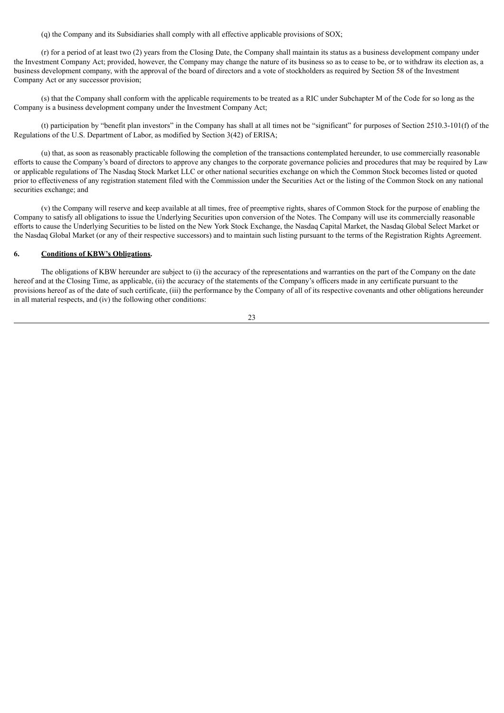(q) the Company and its Subsidiaries shall comply with all effective applicable provisions of SOX;

(r) for a period of at least two (2) years from the Closing Date, the Company shall maintain its status as a business development company under the Investment Company Act; provided, however, the Company may change the nature of its business so as to cease to be, or to withdraw its election as, a business development company, with the approval of the board of directors and a vote of stockholders as required by Section 58 of the Investment Company Act or any successor provision;

(s) that the Company shall conform with the applicable requirements to be treated as a RIC under Subchapter M of the Code for so long as the Company is a business development company under the Investment Company Act;

(t) participation by "benefit plan investors" in the Company has shall at all times not be "significant" for purposes of Section 2510.3-101(f) of the Regulations of the U.S. Department of Labor, as modified by Section 3(42) of ERISA;

(u) that, as soon as reasonably practicable following the completion of the transactions contemplated hereunder, to use commercially reasonable efforts to cause the Company's board of directors to approve any changes to the corporate governance policies and procedures that may be required by Law or applicable regulations of The Nasdaq Stock Market LLC or other national securities exchange on which the Common Stock becomes listed or quoted prior to effectiveness of any registration statement filed with the Commission under the Securities Act or the listing of the Common Stock on any national securities exchange; and

(v) the Company will reserve and keep available at all times, free of preemptive rights, shares of Common Stock for the purpose of enabling the Company to satisfy all obligations to issue the Underlying Securities upon conversion of the Notes. The Company will use its commercially reasonable efforts to cause the Underlying Securities to be listed on the New York Stock Exchange, the Nasdaq Capital Market, the Nasdaq Global Select Market or the Nasdaq Global Market (or any of their respective successors) and to maintain such listing pursuant to the terms of the Registration Rights Agreement.

#### **6. Conditions of KBW's Obligations.**

The obligations of KBW hereunder are subject to (i) the accuracy of the representations and warranties on the part of the Company on the date hereof and at the Closing Time, as applicable, (ii) the accuracy of the statements of the Company's officers made in any certificate pursuant to the provisions hereof as of the date of such certificate, (iii) the performance by the Company of all of its respective covenants and other obligations hereunder in all material respects, and (iv) the following other conditions: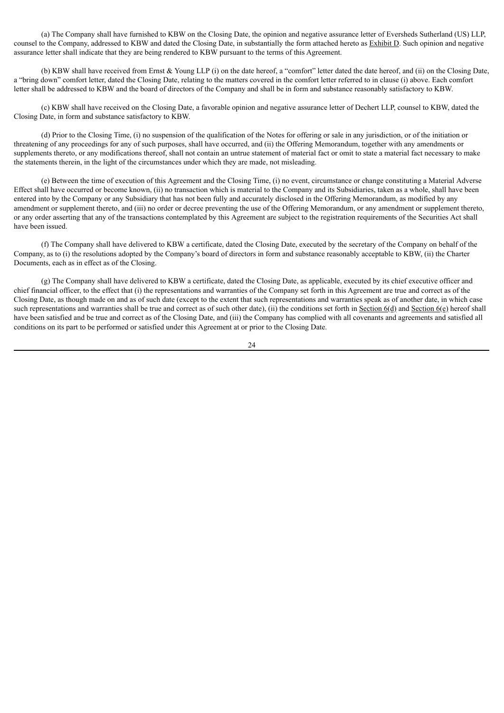(a) The Company shall have furnished to KBW on the Closing Date, the opinion and negative assurance letter of Eversheds Sutherland (US) LLP, counsel to the Company, addressed to KBW and dated the Closing Date, in substantially the form attached hereto as Exhibit D. Such opinion and negative assurance letter shall indicate that they are being rendered to KBW pursuant to the terms of this Agreement.

(b) KBW shall have received from Ernst & Young LLP (i) on the date hereof, a "comfort" letter dated the date hereof, and (ii) on the Closing Date, a "bring down" comfort letter, dated the Closing Date, relating to the matters covered in the comfort letter referred to in clause (i) above. Each comfort letter shall be addressed to KBW and the board of directors of the Company and shall be in form and substance reasonably satisfactory to KBW.

(c) KBW shall have received on the Closing Date, a favorable opinion and negative assurance letter of Dechert LLP, counsel to KBW, dated the Closing Date, in form and substance satisfactory to KBW.

(d) Prior to the Closing Time, (i) no suspension of the qualification of the Notes for offering or sale in any jurisdiction, or of the initiation or threatening of any proceedings for any of such purposes, shall have occurred, and (ii) the Offering Memorandum, together with any amendments or supplements thereto, or any modifications thereof, shall not contain an untrue statement of material fact or omit to state a material fact necessary to make the statements therein, in the light of the circumstances under which they are made, not misleading.

(e) Between the time of execution of this Agreement and the Closing Time, (i) no event, circumstance or change constituting a Material Adverse Effect shall have occurred or become known, (ii) no transaction which is material to the Company and its Subsidiaries, taken as a whole, shall have been entered into by the Company or any Subsidiary that has not been fully and accurately disclosed in the Offering Memorandum, as modified by any amendment or supplement thereto, and (iii) no order or decree preventing the use of the Offering Memorandum, or any amendment or supplement thereto, or any order asserting that any of the transactions contemplated by this Agreement are subject to the registration requirements of the Securities Act shall have been issued.

(f) The Company shall have delivered to KBW a certificate, dated the Closing Date, executed by the secretary of the Company on behalf of the Company, as to (i) the resolutions adopted by the Company's board of directors in form and substance reasonably acceptable to KBW, (ii) the Charter Documents, each as in effect as of the Closing.

(g) The Company shall have delivered to KBW a certificate, dated the Closing Date, as applicable, executed by its chief executive officer and chief financial officer, to the effect that (i) the representations and warranties of the Company set forth in this Agreement are true and correct as of the Closing Date, as though made on and as of such date (except to the extent that such representations and warranties speak as of another date, in which case such representations and warranties shall be true and correct as of such other date), (ii) the conditions set forth in Section  $6(d)$  and Section  $6(e)$  hereof shall have been satisfied and be true and correct as of the Closing Date, and (iii) the Company has complied with all covenants and agreements and satisfied all conditions on its part to be performed or satisfied under this Agreement at or prior to the Closing Date.

24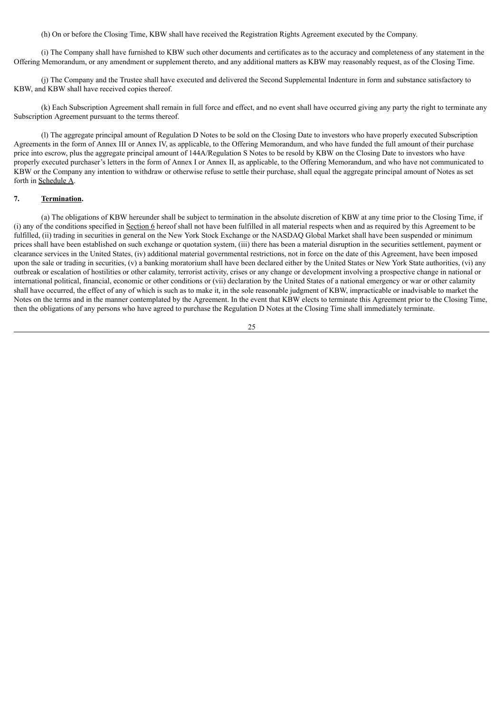(h) On or before the Closing Time, KBW shall have received the Registration Rights Agreement executed by the Company.

(i) The Company shall have furnished to KBW such other documents and certificates as to the accuracy and completeness of any statement in the Offering Memorandum, or any amendment or supplement thereto, and any additional matters as KBW may reasonably request, as of the Closing Time.

(j) The Company and the Trustee shall have executed and delivered the Second Supplemental Indenture in form and substance satisfactory to KBW, and KBW shall have received copies thereof.

(k) Each Subscription Agreement shall remain in full force and effect, and no event shall have occurred giving any party the right to terminate any Subscription Agreement pursuant to the terms thereof.

(l) The aggregate principal amount of Regulation D Notes to be sold on the Closing Date to investors who have properly executed Subscription Agreements in the form of Annex III or Annex IV, as applicable, to the Offering Memorandum, and who have funded the full amount of their purchase price into escrow, plus the aggregate principal amount of 144A/Regulation S Notes to be resold by KBW on the Closing Date to investors who have properly executed purchaser's letters in the form of Annex I or Annex II, as applicable, to the Offering Memorandum, and who have not communicated to KBW or the Company any intention to withdraw or otherwise refuse to settle their purchase, shall equal the aggregate principal amount of Notes as set forth in Schedule A.

## **7. Termination.**

(a) The obligations of KBW hereunder shall be subject to termination in the absolute discretion of KBW at any time prior to the Closing Time, if (i) any of the conditions specified in Section 6 hereof shall not have been fulfilled in all material respects when and as required by this Agreement to be fulfilled, (ii) trading in securities in general on the New York Stock Exchange or the NASDAO Global Market shall have been suspended or minimum prices shall have been established on such exchange or quotation system, (iii) there has been a material disruption in the securities settlement, payment or clearance services in the United States, (iv) additional material governmental restrictions, not in force on the date of this Agreement, have been imposed upon the sale or trading in securities, (v) a banking moratorium shall have been declared either by the United States or New York State authorities, (vi) any outbreak or escalation of hostilities or other calamity, terrorist activity, crises or any change or development involving a prospective change in national or international political, financial, economic or other conditions or (vii) declaration by the United States of a national emergency or war or other calamity shall have occurred, the effect of any of which is such as to make it, in the sole reasonable judgment of KBW, impracticable or inadvisable to market the Notes on the terms and in the manner contemplated by the Agreement. In the event that KBW elects to terminate this Agreement prior to the Closing Time, then the obligations of any persons who have agreed to purchase the Regulation D Notes at the Closing Time shall immediately terminate.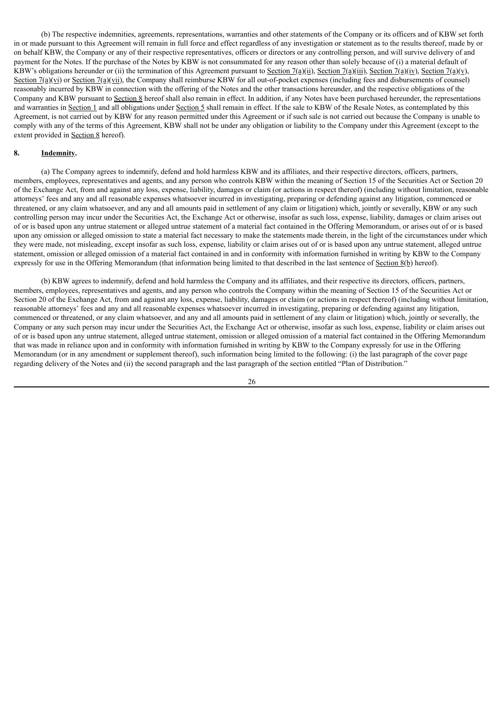(b) The respective indemnities, agreements, representations, warranties and other statements of the Company or its officers and of KBW set forth in or made pursuant to this Agreement will remain in full force and effect regardless of any investigation or statement as to the results thereof, made by or on behalf KBW, the Company or any of their respective representatives, officers or directors or any controlling person, and will survive delivery of and payment for the Notes. If the purchase of the Notes by KBW is not consummated for any reason other than solely because of (i) a material default of KBW's obligations hereunder or (ii) the termination of this Agreement pursuant to Section 7(a)(ii), Section 7(a)(iii), Section 7(a)(v), Section 7(a)(v), Section 7(a)(vi) or Section 7(a)(vii), the Company shall reimburse KBW for all out-of-pocket expenses (including fees and disbursements of counsel) reasonably incurred by KBW in connection with the offering of the Notes and the other transactions hereunder, and the respective obligations of the Company and KBW pursuant to Section 8 hereof shall also remain in effect. In addition, if any Notes have been purchased hereunder, the representations and warranties in Section 1 and all obligations under Section 5 shall remain in effect. If the sale to KBW of the Resale Notes, as contemplated by this Agreement, is not carried out by KBW for any reason permitted under this Agreement or if such sale is not carried out because the Company is unable to comply with any of the terms of this Agreement, KBW shall not be under any obligation or liability to the Company under this Agreement (except to the extent provided in Section 8 hereof).

# **8. Indemnity.**

(a) The Company agrees to indemnify, defend and hold harmless KBW and its affiliates, and their respective directors, officers, partners, members, employees, representatives and agents, and any person who controls KBW within the meaning of Section 15 of the Securities Act or Section 20 of the Exchange Act, from and against any loss, expense, liability, damages or claim (or actions in respect thereof) (including without limitation, reasonable attorneys' fees and any and all reasonable expenses whatsoever incurred in investigating, preparing or defending against any litigation, commenced or threatened, or any claim whatsoever, and any and all amounts paid in settlement of any claim or litigation) which, jointly or severally, KBW or any such controlling person may incur under the Securities Act, the Exchange Act or otherwise, insofar as such loss, expense, liability, damages or claim arises out of or is based upon any untrue statement or alleged untrue statement of a material fact contained in the Offering Memorandum, or arises out of or is based upon any omission or alleged omission to state a material fact necessary to make the statements made therein, in the light of the circumstances under which they were made, not misleading, except insofar as such loss, expense, liability or claim arises out of or is based upon any untrue statement, alleged untrue statement, omission or alleged omission of a material fact contained in and in conformity with information furnished in writing by KBW to the Company expressly for use in the Offering Memorandum (that information being limited to that described in the last sentence of Section 8(b) hereof).

(b) KBW agrees to indemnify, defend and hold harmless the Company and its affiliates, and their respective its directors, officers, partners, members, employees, representatives and agents, and any person who controls the Company within the meaning of Section 15 of the Securities Act or Section 20 of the Exchange Act, from and against any loss, expense, liability, damages or claim (or actions in respect thereof) (including without limitation, reasonable attorneys' fees and any and all reasonable expenses whatsoever incurred in investigating, preparing or defending against any litigation, commenced or threatened, or any claim whatsoever, and any and all amounts paid in settlement of any claim or litigation) which, jointly or severally, the Company or any such person may incur under the Securities Act, the Exchange Act or otherwise, insofar as such loss, expense, liability or claim arises out of or is based upon any untrue statement, alleged untrue statement, omission or alleged omission of a material fact contained in the Offering Memorandum that was made in reliance upon and in conformity with information furnished in writing by KBW to the Company expressly for use in the Offering Memorandum (or in any amendment or supplement thereof), such information being limited to the following: (i) the last paragraph of the cover page regarding delivery of the Notes and (ii) the second paragraph and the last paragraph of the section entitled "Plan of Distribution."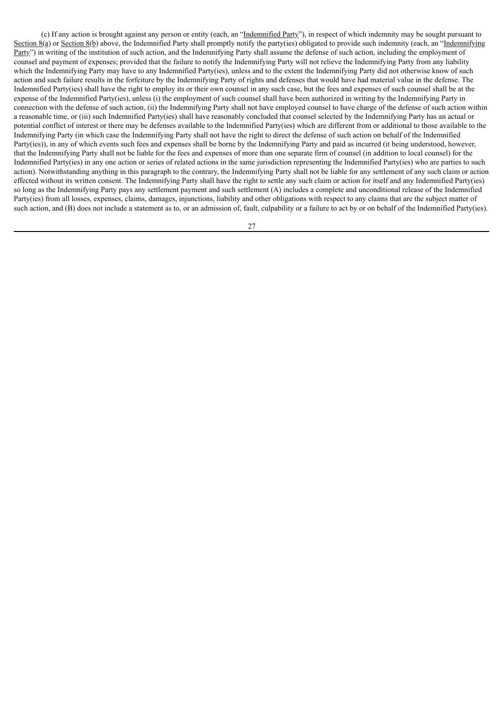(c) If any action is brought against any person or entity (each, an "Indemnified Party"), in respect of which indemnity may be sought pursuant to Section 8(a) or Section 8(b) above, the Indemnified Party shall promptly notify the party(ies) obligated to provide such indemnity (each, an "Indemnifying" Party") in writing of the institution of such action, and the Indemnifying Party shall assume the defense of such action, including the employment of counsel and payment of expenses; provided that the failure to notify the Indemnifying Party will not relieve the Indemnifying Party from any liability which the Indemnifying Party may have to any Indemnified Party(ies), unless and to the extent the Indemnifying Party did not otherwise know of such action and such failure results in the forfeiture by the Indemnifying Party of rights and defenses that would have had material value in the defense. The Indemnified Party(ies) shall have the right to employ its or their own counsel in any such case, but the fees and expenses of such counsel shall be at the expense of the Indemnified Party(ies), unless (i) the employment of such counsel shall have been authorized in writing by the Indemnifying Party in connection with the defense of such action, (ii) the Indemnifying Party shall not have employed counsel to have charge of the defense of such action within a reasonable time, or (iii) such Indemnified Party(ies) shall have reasonably concluded that counsel selected by the Indemnifying Party has an actual or potential conflict of interest or there may be defenses available to the Indemnified Party(ies) which are different from or additional to those available to the Indemnifying Party (in which case the Indemnifying Party shall not have the right to direct the defense of such action on behalf of the Indemnified Party(ies)), in any of which events such fees and expenses shall be borne by the Indemnifying Party and paid as incurred (it being understood, however, that the Indemnifying Party shall not be liable for the fees and expenses of more than one separate firm of counsel (in addition to local counsel) for the Indemnified Party(ies) in any one action or series of related actions in the same jurisdiction representing the Indemnified Party(ies) who are parties to such action). Notwithstanding anything in this paragraph to the contrary, the Indemnifying Party shall not be liable for any settlement of any such claim or action effected without its written consent. The Indemnifying Party shall have the right to settle any such claim or action for itself and any Indemnified Party(ies) so long as the Indemnifying Party pays any settlement payment and such settlement (A) includes a complete and unconditional release of the Indemnified Party(ies) from all losses, expenses, claims, damages, injunctions, liability and other obligations with respect to any claims that are the subject matter of such action, and (B) does not include a statement as to, or an admission of, fault, culpability or a failure to act by or on behalf of the Indemnified Party(ies).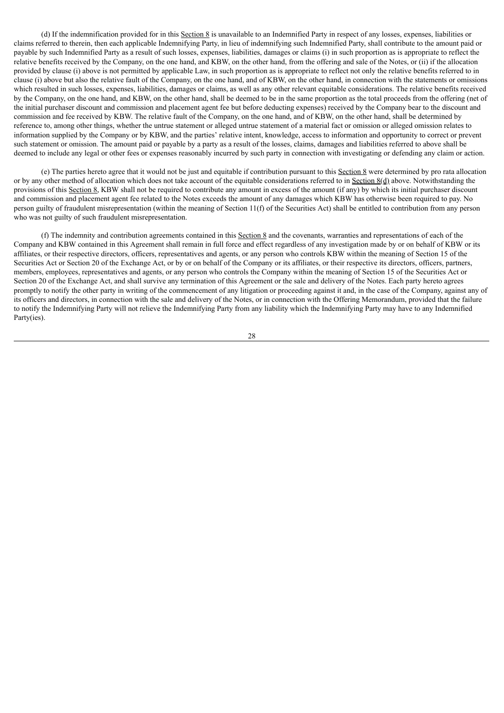(d) If the indemnification provided for in this Section  $8$  is unavailable to an Indemnified Party in respect of any losses, expenses, liabilities or claims referred to therein, then each applicable Indemnifying Party, in lieu of indemnifying such Indemnified Party, shall contribute to the amount paid or payable by such Indemnified Party as a result of such losses, expenses, liabilities, damages or claims (i) in such proportion as is appropriate to reflect the relative benefits received by the Company, on the one hand, and KBW, on the other hand, from the offering and sale of the Notes, or (ii) if the allocation provided by clause (i) above is not permitted by applicable Law, in such proportion as is appropriate to reflect not only the relative benefits referred to in clause (i) above but also the relative fault of the Company, on the one hand, and of KBW, on the other hand, in connection with the statements or omissions which resulted in such losses, expenses, liabilities, damages or claims, as well as any other relevant equitable considerations. The relative benefits received by the Company, on the one hand, and KBW, on the other hand, shall be deemed to be in the same proportion as the total proceeds from the offering (net of the initial purchaser discount and commission and placement agent fee but before deducting expenses) received by the Company bear to the discount and commission and fee received by KBW. The relative fault of the Company, on the one hand, and of KBW, on the other hand, shall be determined by reference to, among other things, whether the untrue statement or alleged untrue statement of a material fact or omission or alleged omission relates to information supplied by the Company or by KBW, and the parties' relative intent, knowledge, access to information and opportunity to correct or prevent such statement or omission. The amount paid or payable by a party as a result of the losses, claims, damages and liabilities referred to above shall be deemed to include any legal or other fees or expenses reasonably incurred by such party in connection with investigating or defending any claim or action.

(e) The parties hereto agree that it would not be just and equitable if contribution pursuant to this Section 8 were determined by pro rata allocation or by any other method of allocation which does not take account of the equitable considerations referred to in Section 8(d) above. Notwithstanding the provisions of this Section 8, KBW shall not be required to contribute any amount in excess of the amount (if any) by which its initial purchaser discount and commission and placement agent fee related to the Notes exceeds the amount of any damages which KBW has otherwise been required to pay. No person guilty of fraudulent misrepresentation (within the meaning of Section 11(f) of the Securities Act) shall be entitled to contribution from any person who was not guilty of such fraudulent misrepresentation.

(f) The indemnity and contribution agreements contained in this Section 8 and the covenants, warranties and representations of each of the Company and KBW contained in this Agreement shall remain in full force and effect regardless of any investigation made by or on behalf of KBW or its affiliates, or their respective directors, officers, representatives and agents, or any person who controls KBW within the meaning of Section 15 of the Securities Act or Section 20 of the Exchange Act, or by or on behalf of the Company or its affiliates, or their respective its directors, officers, partners, members, employees, representatives and agents, or any person who controls the Company within the meaning of Section 15 of the Securities Act or Section 20 of the Exchange Act, and shall survive any termination of this Agreement or the sale and delivery of the Notes. Each party hereto agrees promptly to notify the other party in writing of the commencement of any litigation or proceeding against it and, in the case of the Company, against any of its officers and directors, in connection with the sale and delivery of the Notes, or in connection with the Offering Memorandum, provided that the failure to notify the Indemnifying Party will not relieve the Indemnifying Party from any liability which the Indemnifying Party may have to any Indemnified Party(ies).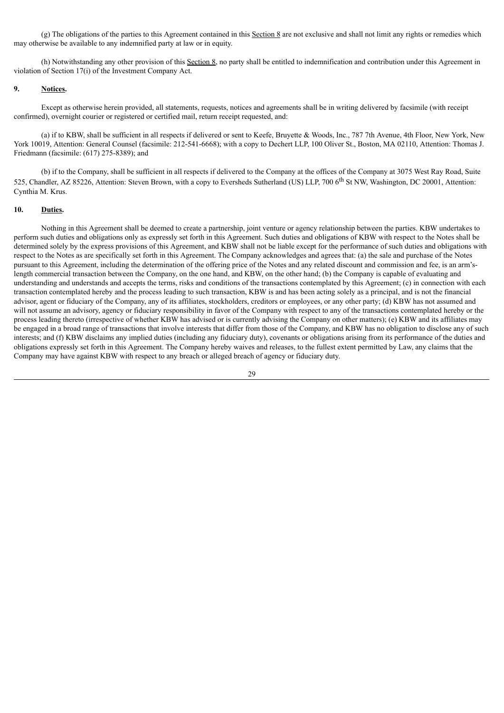(g) The obligations of the parties to this Agreement contained in this Section 8 are not exclusive and shall not limit any rights or remedies which may otherwise be available to any indemnified party at law or in equity.

(h) Notwithstanding any other provision of this Section 8, no party shall be entitled to indemnification and contribution under this Agreement in violation of Section 17(i) of the Investment Company Act.

## **9. Notices.**

Except as otherwise herein provided, all statements, requests, notices and agreements shall be in writing delivered by facsimile (with receipt confirmed), overnight courier or registered or certified mail, return receipt requested, and:

(a) if to KBW, shall be sufficient in all respects if delivered or sent to Keefe, Bruyette & Woods, Inc., 787 7th Avenue, 4th Floor, New York, New York 10019, Attention: General Counsel (facsimile: 212-541-6668); with a copy to Dechert LLP, 100 Oliver St., Boston, MA 02110, Attention: Thomas J. Friedmann (facsimile: (617) 275-8389); and

(b) if to the Company, shall be sufficient in all respects if delivered to the Company at the offices of the Company at 3075 West Ray Road, Suite 525, Chandler, AZ 85226, Attention: Steven Brown, with a copy to Eversheds Sutherland (US) LLP, 700 6<sup>th</sup> St NW, Washington, DC 20001, Attention: Cynthia M. Krus.

### **10. Duties.**

Nothing in this Agreement shall be deemed to create a partnership, joint venture or agency relationship between the parties. KBW undertakes to perform such duties and obligations only as expressly set forth in this Agreement. Such duties and obligations of KBW with respect to the Notes shall be determined solely by the express provisions of this Agreement, and KBW shall not be liable except for the performance of such duties and obligations with respect to the Notes as are specifically set forth in this Agreement. The Company acknowledges and agrees that: (a) the sale and purchase of the Notes pursuant to this Agreement, including the determination of the offering price of the Notes and any related discount and commission and fee, is an arm'slength commercial transaction between the Company, on the one hand, and KBW, on the other hand; (b) the Company is capable of evaluating and understanding and understands and accepts the terms, risks and conditions of the transactions contemplated by this Agreement; (c) in connection with each transaction contemplated hereby and the process leading to such transaction, KBW is and has been acting solely as a principal, and is not the financial advisor, agent or fiduciary of the Company, any of its affiliates, stockholders, creditors or employees, or any other party; (d) KBW has not assumed and will not assume an advisory, agency or fiduciary responsibility in favor of the Company with respect to any of the transactions contemplated hereby or the process leading thereto (irrespective of whether KBW has advised or is currently advising the Company on other matters); (e) KBW and its affiliates may be engaged in a broad range of transactions that involve interests that differ from those of the Company, and KBW has no obligation to disclose any of such interests; and (f) KBW disclaims any implied duties (including any fiduciary duty), covenants or obligations arising from its performance of the duties and obligations expressly set forth in this Agreement. The Company hereby waives and releases, to the fullest extent permitted by Law, any claims that the Company may have against KBW with respect to any breach or alleged breach of agency or fiduciary duty.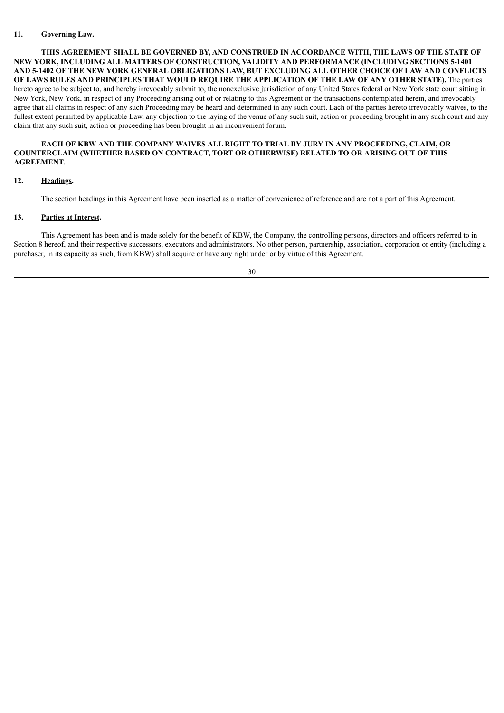# **11. Governing Law.**

**THIS AGREEMENT SHALL BE GOVERNED BY, AND CONSTRUED IN ACCORDANCE WITH, THE LAWS OF THE STATE OF NEW YORK, INCLUDING ALL MATTERS OF CONSTRUCTION, VALIDITY AND PERFORMANCE (INCLUDING SECTIONS 5-1401** AND 5-1402 OF THE NEW YORK GENERAL OBLIGATIONS LAW, BUT EXCLUDING ALL OTHER CHOICE OF LAW AND CONFLICTS OF LAWS RULES AND PRINCIPLES THAT WOULD REQUIRE THE APPLICATION OF THE LAW OF ANY OTHER STATE). The parties hereto agree to be subject to, and hereby irrevocably submit to, the nonexclusive jurisdiction of any United States federal or New York state court sitting in New York, New York, in respect of any Proceeding arising out of or relating to this Agreement or the transactions contemplated herein, and irrevocably agree that all claims in respect of any such Proceeding may be heard and determined in any such court. Each of the parties hereto irrevocably waives, to the fullest extent permitted by applicable Law, any objection to the laying of the venue of any such suit, action or proceeding brought in any such court and any claim that any such suit, action or proceeding has been brought in an inconvenient forum.

### **EACH OF KBW AND THE COMPANY WAIVES ALL RIGHT TO TRIAL BY JURY IN ANY PROCEEDING, CLAIM, OR COUNTERCLAIM (WHETHER BASED ON CONTRACT, TORT OR OTHERWISE) RELATED TO OR ARISING OUT OF THIS AGREEMENT.**

#### **12. Headings.**

The section headings in this Agreement have been inserted as a matter of convenience of reference and are not a part of this Agreement.

## **13. Parties at Interest.**

This Agreement has been and is made solely for the benefit of KBW, the Company, the controlling persons, directors and officers referred to in Section 8 hereof, and their respective successors, executors and administrators. No other person, partnership, association, corporation or entity (including a purchaser, in its capacity as such, from KBW) shall acquire or have any right under or by virtue of this Agreement.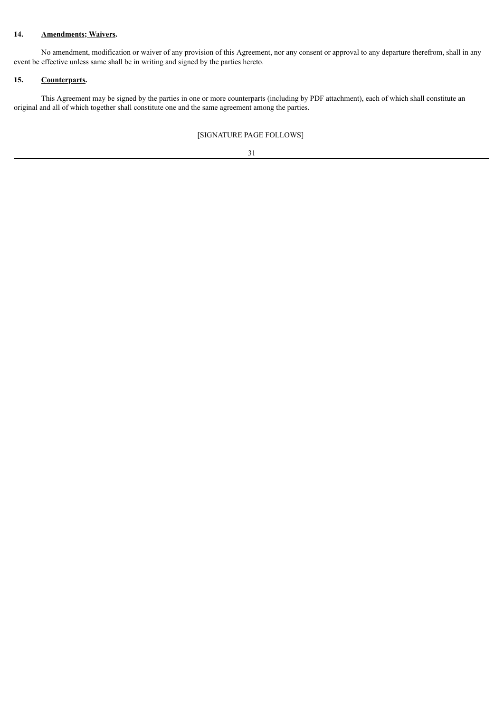# **14. Amendments; Waivers.**

No amendment, modification or waiver of any provision of this Agreement, nor any consent or approval to any departure therefrom, shall in any event be effective unless same shall be in writing and signed by the parties hereto.

## **15. Counterparts.**

This Agreement may be signed by the parties in one or more counterparts (including by PDF attachment), each of which shall constitute an original and all of which together shall constitute one and the same agreement among the parties.

# [SIGNATURE PAGE FOLLOWS]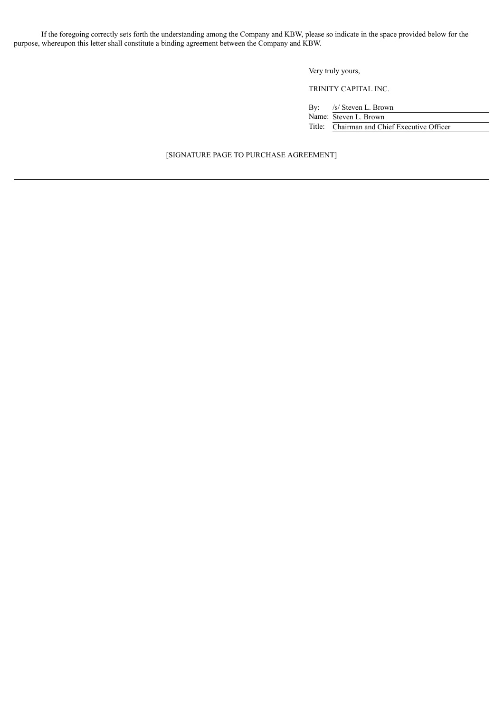If the foregoing correctly sets forth the understanding among the Company and KBW, please so indicate in the space provided below for the purpose, whereupon this letter shall constitute a binding agreement between the Company and KBW.

Very truly yours,

TRINITY CAPITAL INC.

By: /s/ Steven L. Brown Name: Steven L. Brown Title: Chairman and Chief Executive Officer

## [SIGNATURE PAGE TO PURCHASE AGREEMENT]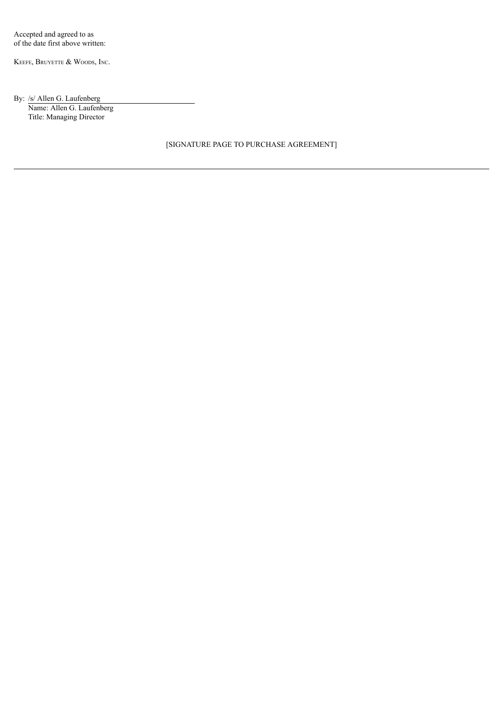KEEFE, BRUYETTE & WOODS, INC.

# By: /s/ Allen G. Laufenberg

Name: Allen G. Laufenberg Title: Managing Director

[SIGNATURE PAGE TO PURCHASE AGREEMENT]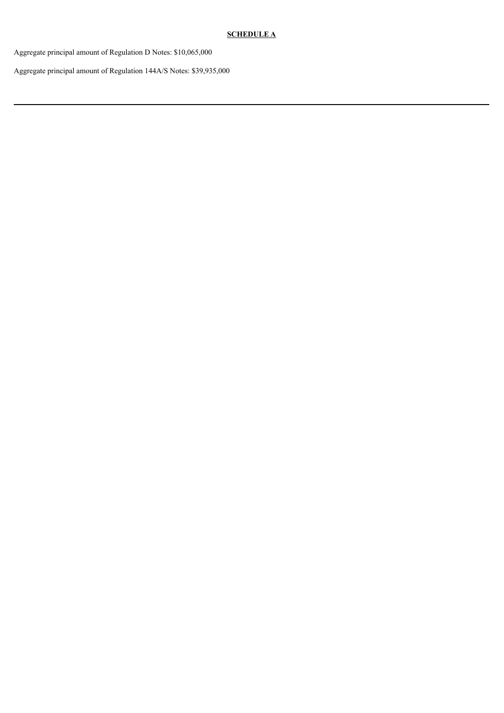# **SCHEDULE A**

Aggregate principal amount of Regulation D Notes: \$10,065,000

Aggregate principal amount of Regulation 144A/S Notes: \$39,935,000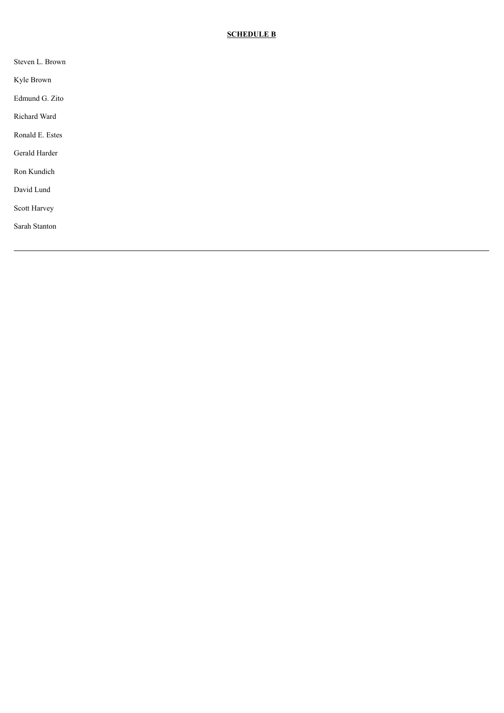# **SCHEDULE B**

| Steven L. Brown |  |
|-----------------|--|
| Kyle Brown      |  |
| Edmund G. Zito  |  |
| Richard Ward    |  |
| Ronald E. Estes |  |
| Gerald Harder   |  |
| Ron Kundich     |  |
| David Lund      |  |
| Scott Harvey    |  |
| Sarah Stanton   |  |
|                 |  |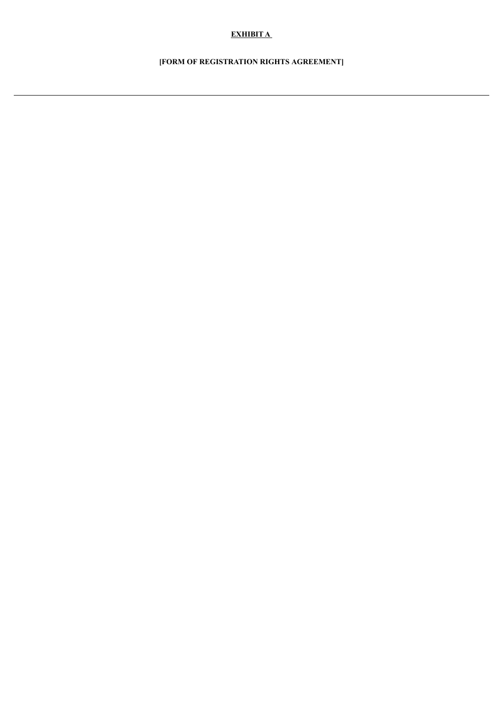# **EXHIBIT A**

# **[FORM OF REGISTRATION RIGHTS AGREEMENT]**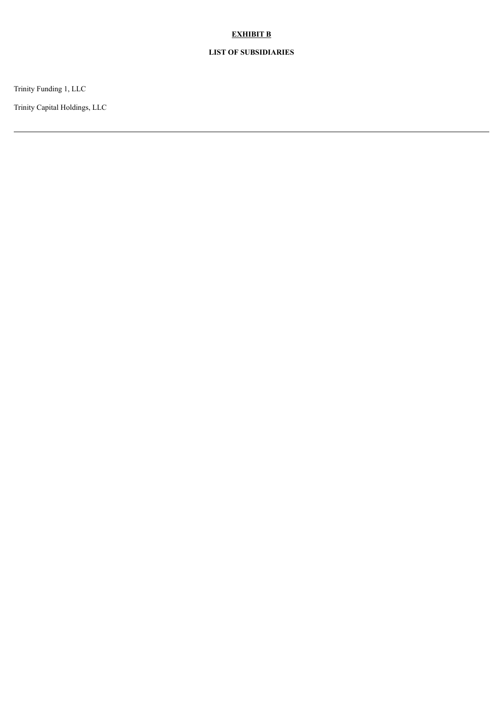# **EXHIBIT B**

# **LIST OF SUBSIDIARIES**

Trinity Funding 1, LLC

Trinity Capital Holdings, LLC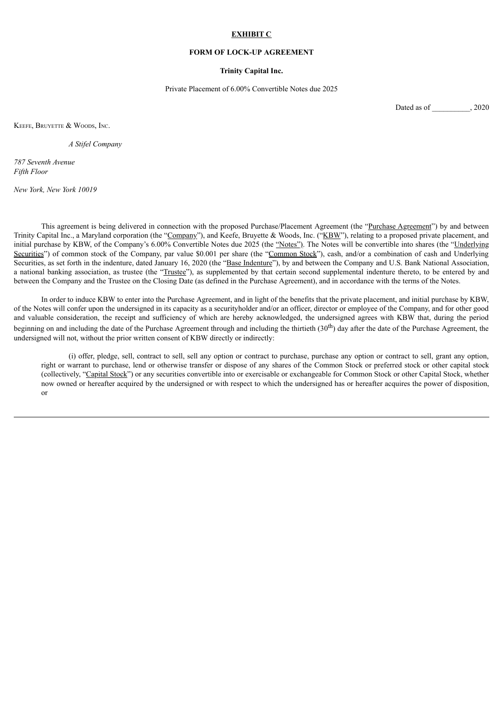#### **EXHIBIT C**

### **FORM OF LOCK-UP AGREEMENT**

#### **Trinity Capital Inc.**

Private Placement of 6.00% Convertible Notes due 2025

Dated as of \_\_\_\_\_\_\_\_\_\_, 2020

KEEFE, BRUYETTE & WOODS, INC.

*A Stifel Company*

*787 Seventh Avenue Fifth Floor*

*New York, New York 10019*

This agreement is being delivered in connection with the proposed Purchase/Placement Agreement (the "Purchase Agreement") by and between Trinity Capital Inc., a Maryland corporation (the "Company"), and Keefe, Bruyette & Woods, Inc. ("KBW"), relating to a proposed private placement, and initial purchase by KBW, of the Company's 6.00% Convertible Notes due 2025 (the "Notes"). The Notes will be convertible into shares (the "Underlying Securities") of common stock of the Company, par value \$0.001 per share (the "Common Stock"), cash, and/or a combination of cash and Underlying Securities, as set forth in the indenture, dated January 16, 2020 (the "Base Indenture"), by and between the Company and U.S. Bank National Association, a national banking association, as trustee (the "Trustee"), as supplemented by that certain second supplemental indenture thereto, to be entered by and between the Company and the Trustee on the Closing Date (as defined in the Purchase Agreement), and in accordance with the terms of the Notes.

In order to induce KBW to enter into the Purchase Agreement, and in light of the benefits that the private placement, and initial purchase by KBW, of the Notes will confer upon the undersigned in its capacity as a securityholder and/or an officer, director or employee of the Company, and for other good and valuable consideration, the receipt and sufficiency of which are hereby acknowledged, the undersigned agrees with KBW that, during the period beginning on and including the date of the Purchase Agreement through and including the thirtieth  $(30<sup>th</sup>)$  day after the date of the Purchase Agreement, the undersigned will not, without the prior written consent of KBW directly or indirectly:

(i) offer, pledge, sell, contract to sell, sell any option or contract to purchase, purchase any option or contract to sell, grant any option, right or warrant to purchase, lend or otherwise transfer or dispose of any shares of the Common Stock or preferred stock or other capital stock (collectively, "Capital Stock") or any securities convertible into or exercisable or exchangeable for Common Stock or other Capital Stock, whether now owned or hereafter acquired by the undersigned or with respect to which the undersigned has or hereafter acquires the power of disposition, or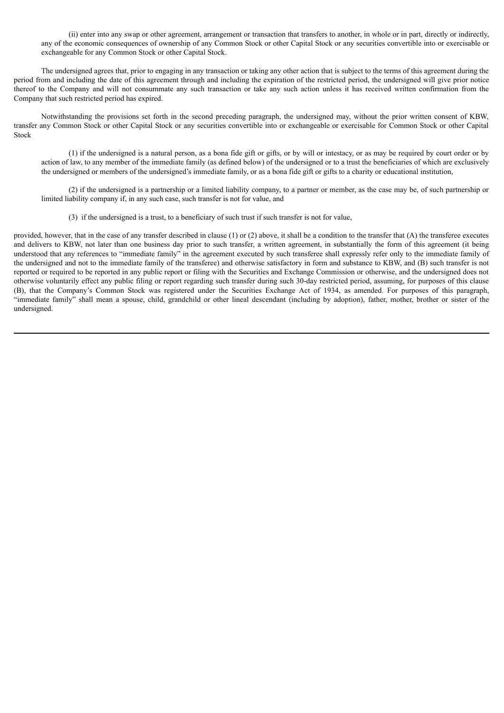(ii) enter into any swap or other agreement, arrangement or transaction that transfers to another, in whole or in part, directly or indirectly, any of the economic consequences of ownership of any Common Stock or other Capital Stock or any securities convertible into or exercisable or exchangeable for any Common Stock or other Capital Stock.

The undersigned agrees that, prior to engaging in any transaction or taking any other action that is subject to the terms of this agreement during the period from and including the date of this agreement through and including the expiration of the restricted period, the undersigned will give prior notice thereof to the Company and will not consummate any such transaction or take any such action unless it has received written confirmation from the Company that such restricted period has expired.

Notwithstanding the provisions set forth in the second preceding paragraph, the undersigned may, without the prior written consent of KBW, transfer any Common Stock or other Capital Stock or any securities convertible into or exchangeable or exercisable for Common Stock or other Capital Stock

(1) if the undersigned is a natural person, as a bona fide gift or gifts, or by will or intestacy, or as may be required by court order or by action of law, to any member of the immediate family (as defined below) of the undersigned or to a trust the beneficiaries of which are exclusively the undersigned or members of the undersigned's immediate family, or as a bona fide gift or gifts to a charity or educational institution,

(2) if the undersigned is a partnership or a limited liability company, to a partner or member, as the case may be, of such partnership or limited liability company if, in any such case, such transfer is not for value, and

(3) if the undersigned is a trust, to a beneficiary of such trust if such transfer is not for value,

provided, however, that in the case of any transfer described in clause  $(1)$  or  $(2)$  above, it shall be a condition to the transfer that  $(A)$  the transferee executes and delivers to KBW, not later than one business day prior to such transfer, a written agreement, in substantially the form of this agreement (it being understood that any references to "immediate family" in the agreement executed by such transferee shall expressly refer only to the immediate family of the undersigned and not to the immediate family of the transferee) and otherwise satisfactory in form and substance to KBW, and (B) such transfer is not reported or required to be reported in any public report or filing with the Securities and Exchange Commission or otherwise, and the undersigned does not otherwise voluntarily effect any public filing or report regarding such transfer during such 30-day restricted period, assuming, for purposes of this clause (B), that the Company's Common Stock was registered under the Securities Exchange Act of 1934, as amended. For purposes of this paragraph, "immediate family" shall mean a spouse, child, grandchild or other lineal descendant (including by adoption), father, mother, brother or sister of the undersigned.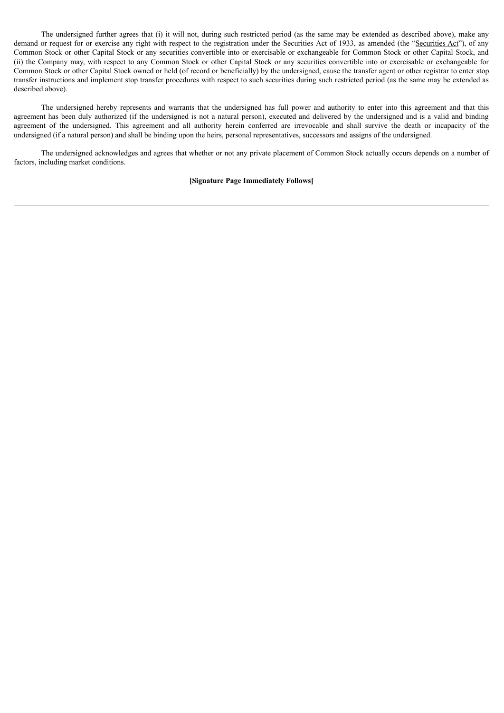The undersigned further agrees that (i) it will not, during such restricted period (as the same may be extended as described above), make any demand or request for or exercise any right with respect to the registration under the Securities Act of 1933, as amended (the "Securities Act"), of any Common Stock or other Capital Stock or any securities convertible into or exercisable or exchangeable for Common Stock or other Capital Stock, and (ii) the Company may, with respect to any Common Stock or other Capital Stock or any securities convertible into or exercisable or exchangeable for Common Stock or other Capital Stock owned or held (of record or beneficially) by the undersigned, cause the transfer agent or other registrar to enter stop transfer instructions and implement stop transfer procedures with respect to such securities during such restricted period (as the same may be extended as described above).

The undersigned hereby represents and warrants that the undersigned has full power and authority to enter into this agreement and that this agreement has been duly authorized (if the undersigned is not a natural person), executed and delivered by the undersigned and is a valid and binding agreement of the undersigned. This agreement and all authority herein conferred are irrevocable and shall survive the death or incapacity of the undersigned (if a natural person) and shall be binding upon the heirs, personal representatives, successors and assigns of the undersigned.

The undersigned acknowledges and agrees that whether or not any private placement of Common Stock actually occurs depends on a number of factors, including market conditions.

#### **[Signature Page Immediately Follows]**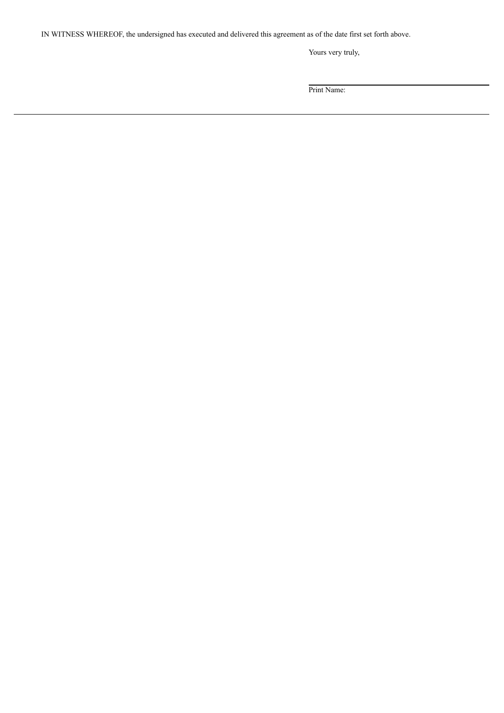IN WITNESS WHEREOF, the undersigned has executed and delivered this agreement as of the date first set forth above.

Yours very truly,

Print Name: